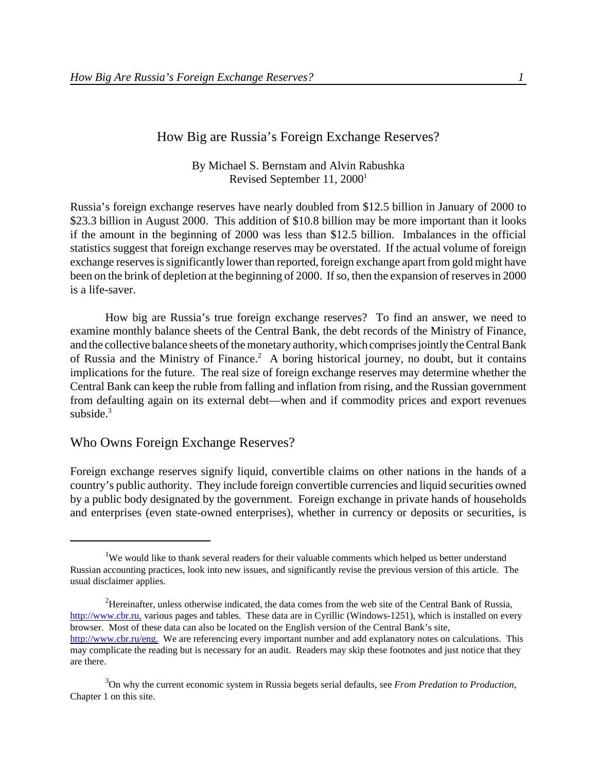## How Big are Russia's Foreign Exchange Reserves?

By Michael S. Bernstam and Alvin Rabushka Revised September 11, 2000<sup>1</sup>

Russia's foreign exchange reserves have nearly doubled from \$12.5 billion in January of 2000 to \$23.3 billion in August 2000. This addition of \$10.8 billion may be more important than it looks if the amount in the beginning of 2000 was less than \$12.5 billion. Imbalances in the official statistics suggest that foreign exchange reserves may be overstated. If the actual volume of foreign exchange reserves is significantly lower than reported, foreign exchange apart from gold might have been on the brink of depletion at the beginning of 2000. If so, then the expansion of reserves in 2000 is a life-saver.

How big are Russia's true foreign exchange reserves? To find an answer, we need to examine monthly balance sheets of the Central Bank, the debt records of the Ministry of Finance, and the collective balance sheets of the monetary authority, which comprises jointly the Central Bank of Russia and the Ministry of Finance.<sup>2</sup> A boring historical journey, no doubt, but it contains implications for the future. The real size of foreign exchange reserves may determine whether the Central Bank can keep the ruble from falling and inflation from rising, and the Russian government from defaulting again on its external debt—when and if commodity prices and export revenues subside.<sup>3</sup>

### Who Owns Foreign Exchange Reserves?

Foreign exchange reserves signify liquid, convertible claims on other nations in the hands of a country's public authority. They include foreign convertible currencies and liquid securities owned by a public body designated by the government. Foreign exchange in private hands of households and enterprises (even state-owned enterprises), whether in currency or deposits or securities, is

<sup>&</sup>lt;sup>1</sup>We would like to thank several readers for their valuable comments which helped us better understand Russian accounting practices, look into new issues, and significantly revise the previous version of this article. The usual disclaimer applies.

<sup>2</sup>Hereinafter, unless otherwise indicated, the data comes from the web site of the Central Bank of Russia, http://www.cbr.ru, various pages and tables. These data are in Cyrillic (Windows-1251), which is installed on every browser. Most of these data can also be located on the English version of the Central Bank's site, http://www.cbr.ru/eng. We are referencing every important number and add explanatory notes on calculations. This may complicate the reading but is necessary for an audit. Readers may skip these footnotes and just notice that they are there.

<sup>3</sup>On why the current economic system in Russia begets serial defaults, see *From Predation to Production*, Chapter 1 on this site.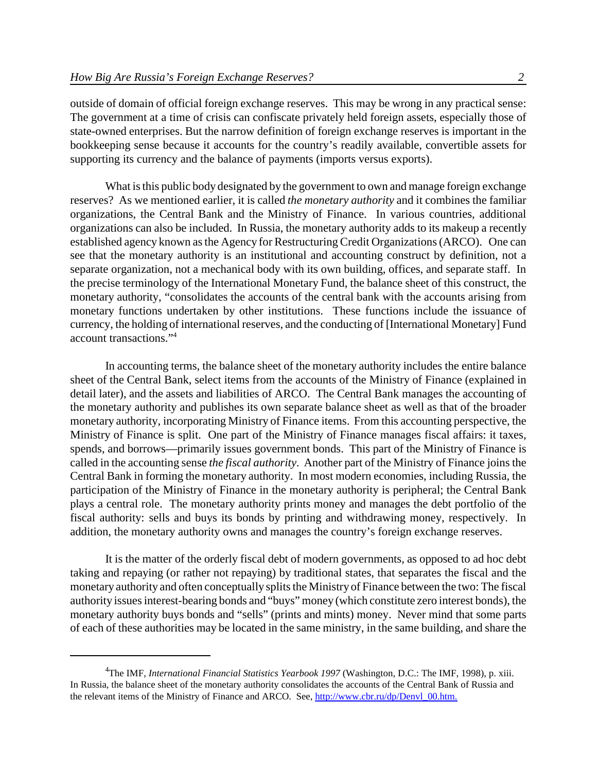outside of domain of official foreign exchange reserves. This may be wrong in any practical sense: The government at a time of crisis can confiscate privately held foreign assets, especially those of state-owned enterprises. But the narrow definition of foreign exchange reserves is important in the bookkeeping sense because it accounts for the country's readily available, convertible assets for supporting its currency and the balance of payments (imports versus exports).

What is this public body designated by the government to own and manage foreign exchange reserves? As we mentioned earlier, it is called *the monetary authority* and it combines the familiar organizations, the Central Bank and the Ministry of Finance. In various countries, additional organizations can also be included. In Russia, the monetary authority adds to its makeup a recently established agency known asthe Agency for Restructuring Credit Organizations(ARCO). One can see that the monetary authority is an institutional and accounting construct by definition, not a separate organization, not a mechanical body with its own building, offices, and separate staff. In the precise terminology of the International Monetary Fund, the balance sheet of this construct, the monetary authority, "consolidates the accounts of the central bank with the accounts arising from monetary functions undertaken by other institutions. These functions include the issuance of currency, the holding of international reserves, and the conducting of [International Monetary] Fund account transactions."<sup>4</sup>

In accounting terms, the balance sheet of the monetary authority includes the entire balance sheet of the Central Bank, select items from the accounts of the Ministry of Finance (explained in detail later), and the assets and liabilities of ARCO. The Central Bank manages the accounting of the monetary authority and publishes its own separate balance sheet as well as that of the broader monetary authority, incorporating Ministry of Finance items. From this accounting perspective, the Ministry of Finance is split. One part of the Ministry of Finance manages fiscal affairs: it taxes, spends, and borrows—primarily issues government bonds. This part of the Ministry of Finance is called in the accounting sense *the fiscal authority*. Another part of the Ministry of Finance joins the Central Bank in forming the monetary authority. In most modern economies, including Russia, the participation of the Ministry of Finance in the monetary authority is peripheral; the Central Bank plays a central role. The monetary authority prints money and manages the debt portfolio of the fiscal authority: sells and buys its bonds by printing and withdrawing money, respectively. In addition, the monetary authority owns and manages the country's foreign exchange reserves.

It is the matter of the orderly fiscal debt of modern governments, as opposed to ad hoc debt taking and repaying (or rather not repaying) by traditional states, that separates the fiscal and the monetary authority and often conceptually splits the Ministry of Finance between the two: The fiscal authority issuesinterest-bearing bonds and "buys"money (which constitute zero interest bonds), the monetary authority buys bonds and "sells" (prints and mints) money. Never mind that some parts of each of these authorities may be located in the same ministry, in the same building, and share the

<sup>4</sup> The IMF, *International Financial Statistics Yearbook 1997* (Washington, D.C.: The IMF, 1998), p. xiii. In Russia, the balance sheet of the monetary authority consolidates the accounts of the Central Bank of Russia and the relevant items of the Ministry of Finance and ARCO. See, http://www.cbr.ru/dp/Denvl\_00.htm.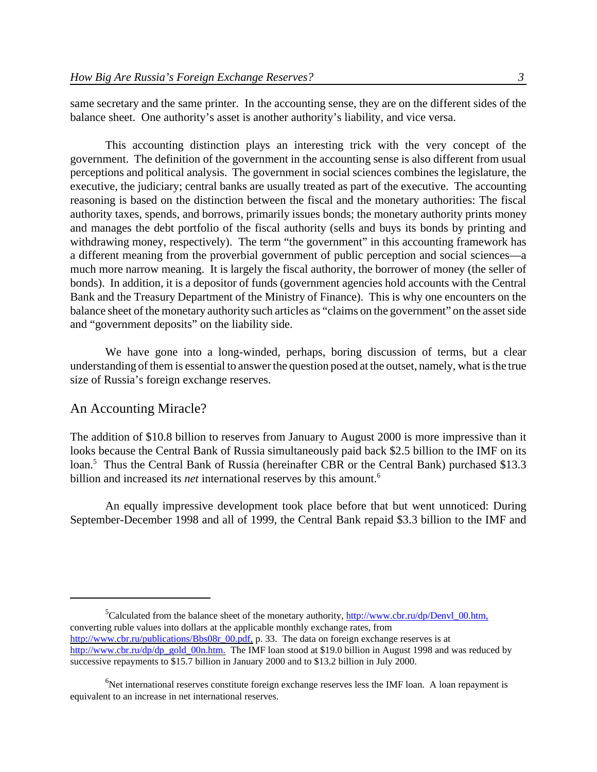same secretary and the same printer. In the accounting sense, they are on the different sides of the balance sheet. One authority's asset is another authority's liability, and vice versa.

This accounting distinction plays an interesting trick with the very concept of the government. The definition of the government in the accounting sense is also different from usual perceptions and political analysis. The government in social sciences combines the legislature, the executive, the judiciary; central banks are usually treated as part of the executive. The accounting reasoning is based on the distinction between the fiscal and the monetary authorities: The fiscal authority taxes, spends, and borrows, primarily issues bonds; the monetary authority prints money and manages the debt portfolio of the fiscal authority (sells and buys its bonds by printing and withdrawing money, respectively). The term "the government" in this accounting framework has a different meaning from the proverbial government of public perception and social sciences—a much more narrow meaning. It is largely the fiscal authority, the borrower of money (the seller of bonds). In addition, it is a depositor of funds (government agencies hold accounts with the Central Bank and the Treasury Department of the Ministry of Finance). This is why one encounters on the balance sheet of the monetary authority such articles as "claims on the government" on the assetside and "government deposits" on the liability side.

We have gone into a long-winded, perhaps, boring discussion of terms, but a clear understanding of them is essential to answer the question posed at the outset, namely, what is the true size of Russia's foreign exchange reserves.

### An Accounting Miracle?

The addition of \$10.8 billion to reserves from January to August 2000 is more impressive than it looks because the Central Bank of Russia simultaneously paid back \$2.5 billion to the IMF on its loan.<sup>5</sup> Thus the Central Bank of Russia (hereinafter CBR or the Central Bank) purchased \$13.3 billion and increased its *net* international reserves by this amount.<sup>6</sup>

An equally impressive development took place before that but went unnoticed: During September-December 1998 and all of 1999, the Central Bank repaid \$3.3 billion to the IMF and

<sup>5</sup>Calculated from the balance sheet of the monetary authority,  $\frac{http://www.cbr.ru/dp/Denvl_00.htm,$ converting ruble values into dollars at the applicable monthly exchange rates, from http://www.cbr.ru/publications/Bbs08r\_00.pdf, p. 33. The data on foreign exchange reserves is at http://www.cbr.ru/dp/dp\_gold\_00n.htm. The IMF loan stood at \$19.0 billion in August 1998 and was reduced by successive repayments to \$15.7 billion in January 2000 and to \$13.2 billion in July 2000.

 $6$ Net international reserves constitute foreign exchange reserves less the IMF loan. A loan repayment is equivalent to an increase in net international reserves.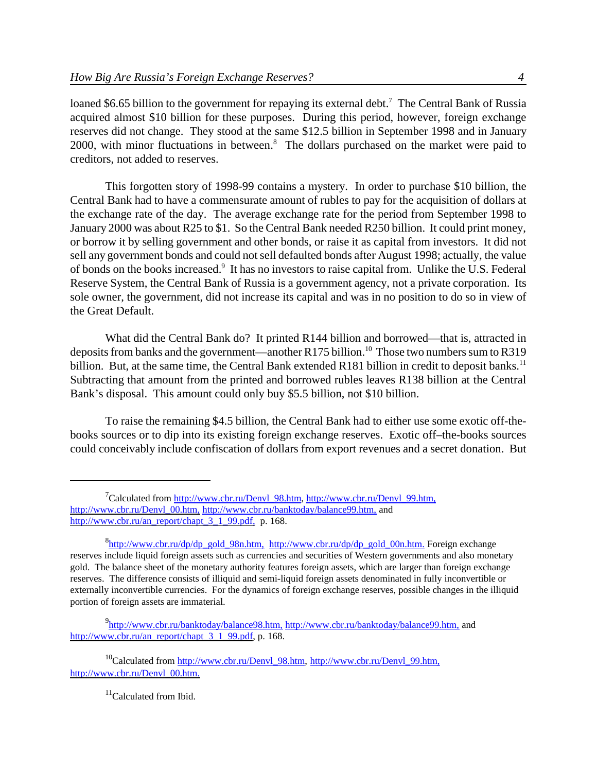loaned \$6.65 billion to the government for repaying its external debt.<sup>7</sup> The Central Bank of Russia acquired almost \$10 billion for these purposes. During this period, however, foreign exchange reserves did not change. They stood at the same \$12.5 billion in September 1998 and in January 2000, with minor fluctuations in between.<sup>8</sup> The dollars purchased on the market were paid to creditors, not added to reserves.

This forgotten story of 1998-99 contains a mystery. In order to purchase \$10 billion, the Central Bank had to have a commensurate amount of rubles to pay for the acquisition of dollars at the exchange rate of the day. The average exchange rate for the period from September 1998 to January 2000 was about R25 to \$1. So the Central Bank needed R250 billion. It could print money, or borrow it by selling government and other bonds, or raise it as capital from investors. It did not sell any government bonds and could not sell defaulted bonds after August 1998; actually, the value of bonds on the books increased.<sup>9</sup> It has no investors to raise capital from. Unlike the U.S. Federal Reserve System, the Central Bank of Russia is a government agency, not a private corporation. Its sole owner, the government, did not increase its capital and was in no position to do so in view of the Great Default.

What did the Central Bank do? It printed R144 billion and borrowed—that is, attracted in deposits from banks and the government—another R175 billion.<sup>10</sup> Those two numbers sum to R319 billion. But, at the same time, the Central Bank extended R181 billion in credit to deposit banks.<sup>11</sup> Subtracting that amount from the printed and borrowed rubles leaves R138 billion at the Central Bank's disposal. This amount could only buy \$5.5 billion, not \$10 billion.

To raise the remaining \$4.5 billion, the Central Bank had to either use some exotic off-thebooks sources or to dip into its existing foreign exchange reserves. Exotic off–the-books sources could conceivably include confiscation of dollars from export revenues and a secret donation. But

<sup>&</sup>lt;sup>7</sup>Calculated from http://www.cbr.ru/Denvl\_98.htm, http://www.cbr.ru/Denvl\_99.htm, http://www.cbr.ru/Denvl\_00.htm, http://www.cbr.ru/banktoday/balance99.htm, and http://www.cbr.ru/an\_report/chapt\_3\_1\_99.pdf, p. 168.

<sup>&</sup>lt;sup>8</sup>http://www.cbr.ru/dp/dp\_gold\_98n.htm, http://www.cbr.ru/dp/dp\_gold\_00n.htm. Foreign exchange reserves include liquid foreign assets such as currencies and securities of Western governments and also monetary gold. The balance sheet of the monetary authority features foreign assets, which are larger than foreign exchange reserves. The difference consists of illiquid and semi-liquid foreign assets denominated in fully inconvertible or externally inconvertible currencies. For the dynamics of foreign exchange reserves, possible changes in the illiquid portion of foreign assets are immaterial.

<sup>&</sup>lt;sup>9</sup>http://www.cbr.ru/banktoday/balance98.htm, http://www.cbr.ru/banktoday/balance99.htm, and http://www.cbr.ru/an\_report/chapt\_3\_1\_99.pdf, p. 168.

<sup>&</sup>lt;sup>10</sup>Calculated from http://www.cb<u>r.ru/Denvl\_98.htm, http://www.cbr.ru/Denvl\_99.htm,</u> http://www.cbr.ru/Denvl\_00.htm.

<sup>&</sup>lt;sup>11</sup>Calculated from Ibid.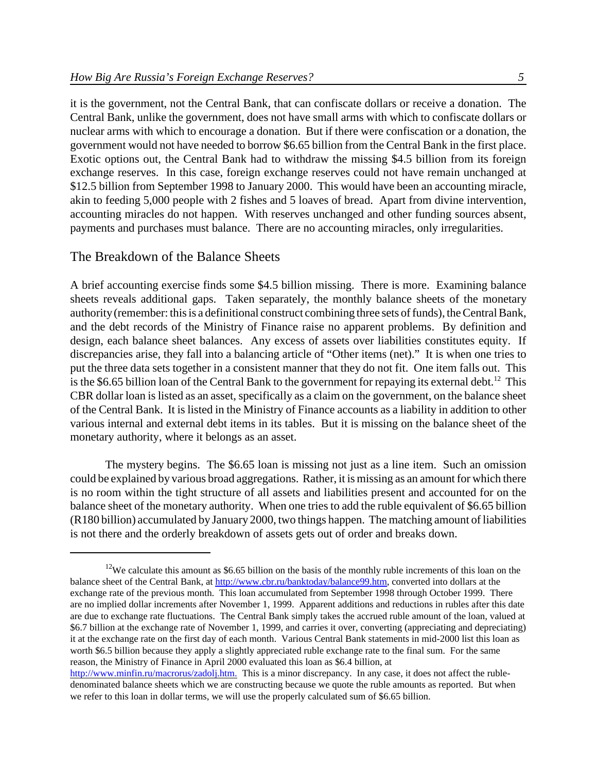it is the government, not the Central Bank, that can confiscate dollars or receive a donation. The Central Bank, unlike the government, does not have small arms with which to confiscate dollars or nuclear arms with which to encourage a donation. But if there were confiscation or a donation, the government would not have needed to borrow \$6.65 billion from the Central Bank in the first place. Exotic options out, the Central Bank had to withdraw the missing \$4.5 billion from its foreign exchange reserves. In this case, foreign exchange reserves could not have remain unchanged at \$12.5 billion from September 1998 to January 2000. This would have been an accounting miracle, akin to feeding 5,000 people with 2 fishes and 5 loaves of bread. Apart from divine intervention, accounting miracles do not happen. With reserves unchanged and other funding sources absent, payments and purchases must balance. There are no accounting miracles, only irregularities.

### The Breakdown of the Balance Sheets

A brief accounting exercise finds some \$4.5 billion missing. There is more. Examining balance sheets reveals additional gaps. Taken separately, the monthly balance sheets of the monetary authority(remember: this is a definitional construct combining three sets of funds), the Central Bank, and the debt records of the Ministry of Finance raise no apparent problems. By definition and design, each balance sheet balances. Any excess of assets over liabilities constitutes equity. If discrepancies arise, they fall into a balancing article of "Other items (net)." It is when one tries to put the three data sets together in a consistent manner that they do not fit. One item falls out. This is the \$6.65 billion loan of the Central Bank to the government for repaying its external debt.<sup>12</sup> This CBR dollar loan islisted as an asset, specifically as a claim on the government, on the balance sheet of the Central Bank. It is listed in the Ministry of Finance accounts as a liability in addition to other various internal and external debt items in its tables. But it is missing on the balance sheet of the monetary authority, where it belongs as an asset.

The mystery begins. The \$6.65 loan is missing not just as a line item. Such an omission could be explained by various broad aggregations. Rather, it is missing as an amount for which there is no room within the tight structure of all assets and liabilities present and accounted for on the balance sheet of the monetary authority. When one tries to add the ruble equivalent of \$6.65 billion (R180 billion) accumulated by January 2000, two things happen. The matching amount of liabilities is not there and the orderly breakdown of assets gets out of order and breaks down.

<sup>&</sup>lt;sup>12</sup>We calculate this amount as \$6.65 billion on the basis of the monthly ruble increments of this loan on the balance sheet of the Central Bank, at http://www.cbr.ru/banktoday/balance99.htm, converted into dollars at the exchange rate of the previous month. This loan accumulated from September 1998 through October 1999. There are no implied dollar increments after November 1, 1999. Apparent additions and reductions in rubles after this date are due to exchange rate fluctuations. The Central Bank simply takes the accrued ruble amount of the loan, valued at \$6.7 billion at the exchange rate of November 1, 1999, and carries it over, converting (appreciating and depreciating) it at the exchange rate on the first day of each month. Various Central Bank statements in mid-2000 list this loan as worth \$6.5 billion because they apply a slightly appreciated ruble exchange rate to the final sum. For the same reason, the Ministry of Finance in April 2000 evaluated this loan as \$6.4 billion, at

http://www.minfin.ru/macrorus/zadolj.htm. This is a minor discrepancy. In any case, it does not affect the rubledenominated balance sheets which we are constructing because we quote the ruble amounts as reported. But when we refer to this loan in dollar terms, we will use the properly calculated sum of \$6.65 billion.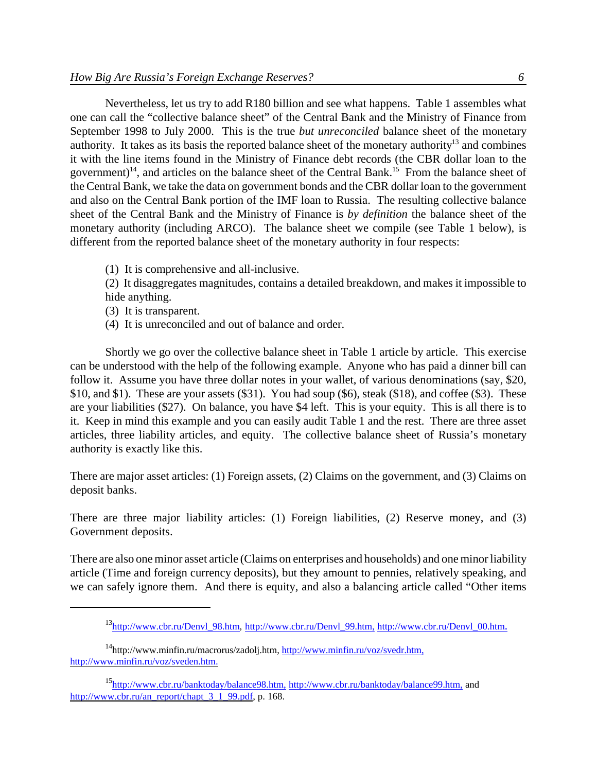Nevertheless, let us try to add R180 billion and see what happens. Table 1 assembles what one can call the "collective balance sheet" of the Central Bank and the Ministry of Finance from September 1998 to July 2000. This is the true *but unreconciled* balance sheet of the monetary authority. It takes as its basis the reported balance sheet of the monetary authority<sup>13</sup> and combines it with the line items found in the Ministry of Finance debt records (the CBR dollar loan to the government)<sup>14</sup>, and articles on the balance sheet of the Central Bank.<sup>15</sup> From the balance sheet of the Central Bank, we take the data on government bonds and the CBR dollar loan to the government and also on the Central Bank portion of the IMF loan to Russia. The resulting collective balance sheet of the Central Bank and the Ministry of Finance is *by definition* the balance sheet of the monetary authority (including ARCO). The balance sheet we compile (see Table 1 below), is different from the reported balance sheet of the monetary authority in four respects:

(1) It is comprehensive and all-inclusive.

(2) It disaggregates magnitudes, contains a detailed breakdown, and makes it impossible to hide anything.

- (3) It is transparent.
- (4) It is unreconciled and out of balance and order.

Shortly we go over the collective balance sheet in Table 1 article by article. This exercise can be understood with the help of the following example. Anyone who has paid a dinner bill can follow it. Assume you have three dollar notes in your wallet, of various denominations (say, \$20, \$10, and \$1). These are your assets (\$31). You had soup (\$6), steak (\$18), and coffee (\$3). These are your liabilities (\$27). On balance, you have \$4 left. This is your equity. This is all there is to it. Keep in mind this example and you can easily audit Table 1 and the rest. There are three asset articles, three liability articles, and equity. The collective balance sheet of Russia's monetary authority is exactly like this.

There are major asset articles: (1) Foreign assets, (2) Claims on the government, and (3) Claims on deposit banks.

There are three major liability articles: (1) Foreign liabilities, (2) Reserve money, and (3) Government deposits.

There are also one minor asset article (Claims on enterprises and households) and one minor liability article (Time and foreign currency deposits), but they amount to pennies, relatively speaking, and we can safely ignore them. And there is equity, and also a balancing article called "Other items

 $13$ http://www.cbr.ru/Denvl\_98.htm, http://www.cbr.ru/Denvl\_99.htm, http://www.cbr.ru/Denvl\_00.htm.

 $14$ http://www.minfin.ru/macrorus/zadolj.htm, http://www.minfin.ru/voz/svedr.htm, http://www.minfin.ru/voz/sveden.htm.

<sup>15</sup>http://www.cbr.ru/banktoday/balance98.htm, http://www.cbr.ru/banktoday/balance99.htm, and http://www.cbr.ru/an\_report/chapt\_3\_1\_99.pdf, p. 168.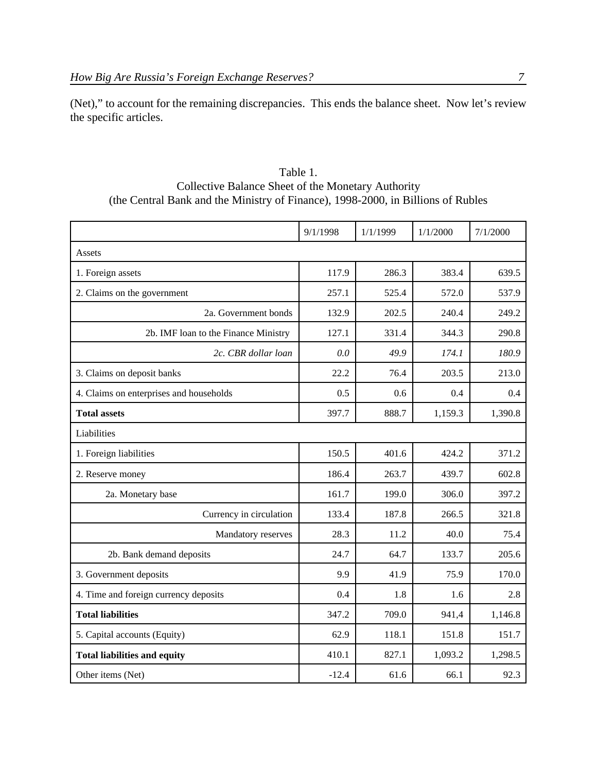(Net)," to account for the remaining discrepancies. This ends the balance sheet. Now let's review the specific articles.

| Table 1.                                                                         |
|----------------------------------------------------------------------------------|
| Collective Balance Sheet of the Monetary Authority                               |
| (the Central Bank and the Ministry of Finance), 1998-2000, in Billions of Rubles |

|                                         | 9/1/1998 | 1/1/1999 | 1/1/2000 | 7/1/2000 |
|-----------------------------------------|----------|----------|----------|----------|
| Assets                                  |          |          |          |          |
| 1. Foreign assets                       | 117.9    | 286.3    | 383.4    | 639.5    |
| 2. Claims on the government             | 257.1    | 525.4    | 572.0    | 537.9    |
| 2a. Government bonds                    | 132.9    | 202.5    | 240.4    | 249.2    |
| 2b. IMF loan to the Finance Ministry    | 127.1    | 331.4    | 344.3    | 290.8    |
| 2c. CBR dollar loan                     | 0.0      | 49.9     | 174.1    | 180.9    |
| 3. Claims on deposit banks              | 22.2     | 76.4     | 203.5    | 213.0    |
| 4. Claims on enterprises and households | 0.5      | 0.6      | 0.4      | 0.4      |
| <b>Total assets</b>                     | 397.7    | 888.7    | 1,159.3  | 1,390.8  |
| Liabilities                             |          |          |          |          |
| 1. Foreign liabilities                  | 150.5    | 401.6    | 424.2    | 371.2    |
| 2. Reserve money                        | 186.4    | 263.7    | 439.7    | 602.8    |
| 2a. Monetary base                       | 161.7    | 199.0    | 306.0    | 397.2    |
| Currency in circulation                 | 133.4    | 187.8    | 266.5    | 321.8    |
| Mandatory reserves                      | 28.3     | 11.2     | 40.0     | 75.4     |
| 2b. Bank demand deposits                | 24.7     | 64.7     | 133.7    | 205.6    |
| 3. Government deposits                  | 9.9      | 41.9     | 75.9     | 170.0    |
| 4. Time and foreign currency deposits   | 0.4      | 1.8      | 1.6      | 2.8      |
| <b>Total liabilities</b>                | 347.2    | 709.0    | 941,4    | 1,146.8  |
| 5. Capital accounts (Equity)            | 62.9     | 118.1    | 151.8    | 151.7    |
| <b>Total liabilities and equity</b>     | 410.1    | 827.1    | 1,093.2  | 1,298.5  |
| Other items (Net)                       | $-12.4$  | 61.6     | 66.1     | 92.3     |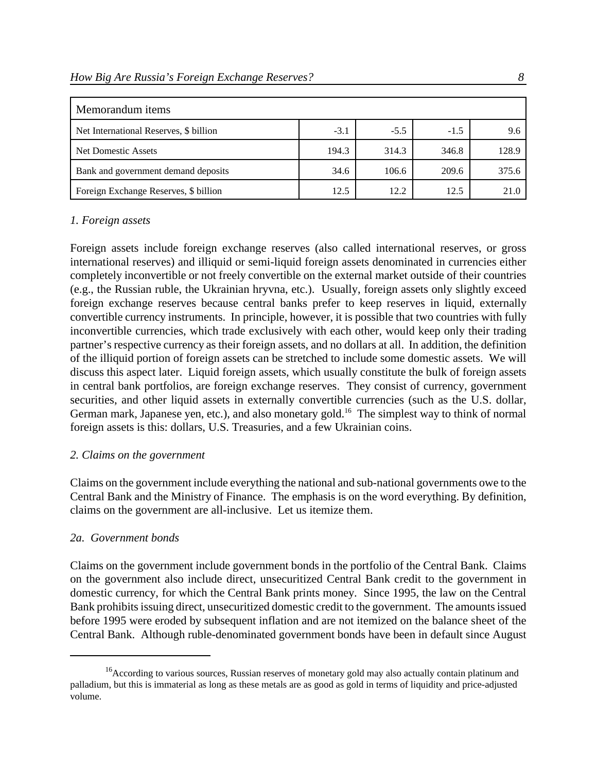| Memorandum items                       |        |        |        |       |
|----------------------------------------|--------|--------|--------|-------|
| Net International Reserves, \$ billion | $-3.1$ | $-5.5$ | $-1.5$ | 9.6   |
| Net Domestic Assets                    | 194.3  | 314.3  | 346.8  | 128.9 |
| Bank and government demand deposits    | 34.6   | 106.6  | 209.6  | 375.6 |
| Foreign Exchange Reserves, \$ billion  | 12.5   | 12.2   | 12.5   | 21.0  |

### *1. Foreign assets*

Foreign assets include foreign exchange reserves (also called international reserves, or gross international reserves) and illiquid or semi-liquid foreign assets denominated in currencies either completely inconvertible or not freely convertible on the external market outside of their countries (e.g., the Russian ruble, the Ukrainian hryvna, etc.). Usually, foreign assets only slightly exceed foreign exchange reserves because central banks prefer to keep reserves in liquid, externally convertible currency instruments. In principle, however, it is possible that two countries with fully inconvertible currencies, which trade exclusively with each other, would keep only their trading partner's respective currency as their foreign assets, and no dollars at all. In addition, the definition of the illiquid portion of foreign assets can be stretched to include some domestic assets. We will discuss this aspect later. Liquid foreign assets, which usually constitute the bulk of foreign assets in central bank portfolios, are foreign exchange reserves. They consist of currency, government securities, and other liquid assets in externally convertible currencies (such as the U.S. dollar, German mark, Japanese yen, etc.), and also monetary gold.<sup>16</sup> The simplest way to think of normal foreign assets is this: dollars, U.S. Treasuries, and a few Ukrainian coins.

#### *2. Claims on the government*

Claims on the government include everything the national and sub-national governments owe to the Central Bank and the Ministry of Finance. The emphasis is on the word everything. By definition, claims on the government are all-inclusive. Let us itemize them.

### *2a. Government bonds*

Claims on the government include government bonds in the portfolio of the Central Bank. Claims on the government also include direct, unsecuritized Central Bank credit to the government in domestic currency, for which the Central Bank prints money. Since 1995, the law on the Central Bank prohibits issuing direct, unsecuritized domestic credit to the government. The amounts issued before 1995 were eroded by subsequent inflation and are not itemized on the balance sheet of the Central Bank. Although ruble-denominated government bonds have been in default since August

<sup>&</sup>lt;sup>16</sup> According to various sources, Russian reserves of monetary gold may also actually contain platinum and palladium, but this is immaterial as long as these metals are as good as gold in terms of liquidity and price-adjusted volume.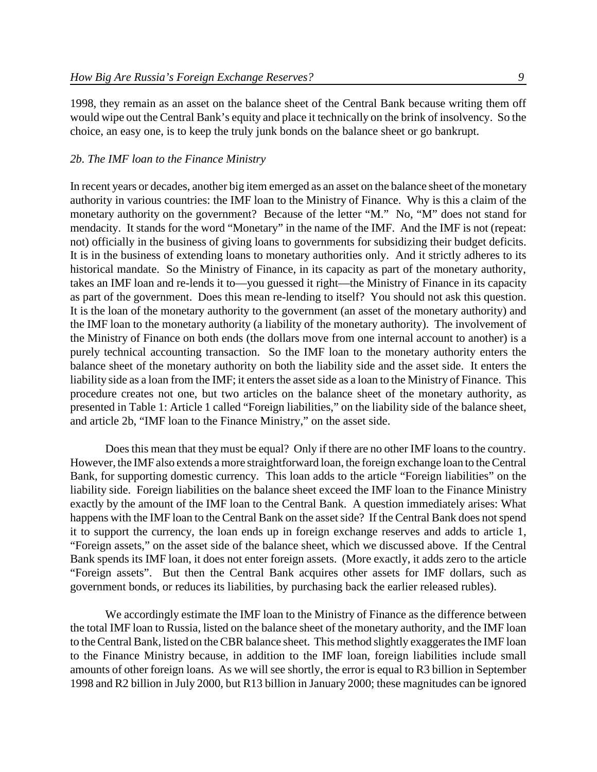1998, they remain as an asset on the balance sheet of the Central Bank because writing them off would wipe out the Central Bank's equity and place it technically on the brink of insolvency. So the choice, an easy one, is to keep the truly junk bonds on the balance sheet or go bankrupt.

#### *2b. The IMF loan to the Finance Ministry*

In recent years or decades, another big item emerged as an asset on the balance sheet of the monetary authority in various countries: the IMF loan to the Ministry of Finance. Why is this a claim of the monetary authority on the government? Because of the letter "M." No, "M" does not stand for mendacity. It stands for the word "Monetary" in the name of the IMF. And the IMF is not (repeat: not) officially in the business of giving loans to governments for subsidizing their budget deficits. It is in the business of extending loans to monetary authorities only. And it strictly adheres to its historical mandate. So the Ministry of Finance, in its capacity as part of the monetary authority, takes an IMF loan and re-lends it to—you guessed it right—the Ministry of Finance in its capacity as part of the government. Does this mean re-lending to itself? You should not ask this question. It is the loan of the monetary authority to the government (an asset of the monetary authority) and the IMF loan to the monetary authority (a liability of the monetary authority). The involvement of the Ministry of Finance on both ends (the dollars move from one internal account to another) is a purely technical accounting transaction. So the IMF loan to the monetary authority enters the balance sheet of the monetary authority on both the liability side and the asset side. It enters the liability side as a loan from the IMF; it enters the asset side as a loan to the Ministry of Finance. This procedure creates not one, but two articles on the balance sheet of the monetary authority, as presented in Table 1: Article 1 called "Foreign liabilities," on the liability side of the balance sheet, and article 2b, "IMF loan to the Finance Ministry," on the asset side.

Does this mean that they must be equal? Only if there are no other IMF loans to the country. However, the IMF also extends a more straightforward loan, the foreign exchange loan to theCentral Bank, for supporting domestic currency. This loan adds to the article "Foreign liabilities" on the liability side. Foreign liabilities on the balance sheet exceed the IMF loan to the Finance Ministry exactly by the amount of the IMF loan to the Central Bank. A question immediately arises: What happens with the IMF loan to the Central Bank on the asset side? If the Central Bank does not spend it to support the currency, the loan ends up in foreign exchange reserves and adds to article 1, "Foreign assets," on the asset side of the balance sheet, which we discussed above. If the Central Bank spends its IMF loan, it does not enter foreign assets. (More exactly, it adds zero to the article "Foreign assets". But then the Central Bank acquires other assets for IMF dollars, such as government bonds, or reduces its liabilities, by purchasing back the earlier released rubles).

We accordingly estimate the IMF loan to the Ministry of Finance as the difference between the total IMF loan to Russia, listed on the balance sheet of the monetary authority, and the IMF loan to theCentral Bank, listed on the CBR balance sheet. This method slightly exaggerates the IMF loan to the Finance Ministry because, in addition to the IMF loan, foreign liabilities include small amounts of other foreign loans. As we will see shortly, the error is equal to R3 billion in September 1998 and R2 billion in July 2000, but R13 billion in January 2000; these magnitudes can be ignored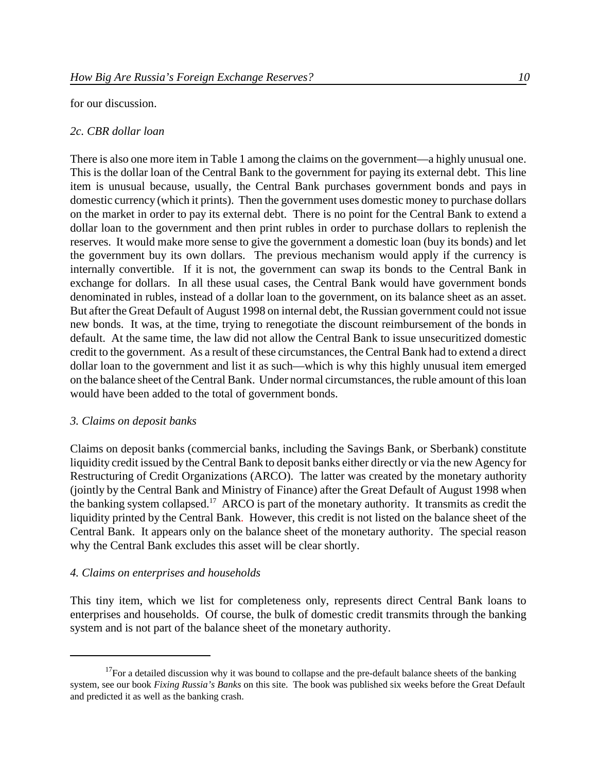#### for our discussion.

### *2c. CBR dollar loan*

There is also one more item in Table 1 among the claims on the government—a highly unusual one. This is the dollar loan of the Central Bank to the government for paying its external debt. This line item is unusual because, usually, the Central Bank purchases government bonds and pays in domestic currency (which it prints). Then the government uses domestic money to purchase dollars on the market in order to pay its external debt. There is no point for the Central Bank to extend a dollar loan to the government and then print rubles in order to purchase dollars to replenish the reserves. It would make more sense to give the government a domestic loan (buy its bonds) and let the government buy its own dollars. The previous mechanism would apply if the currency is internally convertible. If it is not, the government can swap its bonds to the Central Bank in exchange for dollars. In all these usual cases, the Central Bank would have government bonds denominated in rubles, instead of a dollar loan to the government, on its balance sheet as an asset. But after the Great Default of August 1998 on internal debt, the Russian government could not issue new bonds. It was, at the time, trying to renegotiate the discount reimbursement of the bonds in default. At the same time, the law did not allow the Central Bank to issue unsecuritized domestic credit to the government. As a result of these circumstances, the Central Bank had to extend a direct dollar loan to the government and list it as such—which is why this highly unusual item emerged on the balance sheet of the Central Bank. Under normal circumstances, the ruble amount of this loan would have been added to the total of government bonds.

#### *3. Claims on deposit banks*

Claims on deposit banks (commercial banks, including the Savings Bank, or Sberbank) constitute liquidity credit issued by the Central Bank to deposit banks either directly or via the new Agency for Restructuring of Credit Organizations (ARCO). The latter was created by the monetary authority (jointly by the Central Bank and Ministry of Finance) after the Great Default of August 1998 when the banking system collapsed.<sup>17</sup> ARCO is part of the monetary authority. It transmits as credit the liquidity printed by the Central Bank. However, this credit is not listed on the balance sheet of the Central Bank. It appears only on the balance sheet of the monetary authority. The special reason why the Central Bank excludes this asset will be clear shortly.

#### *4. Claims on enterprises and households*

This tiny item, which we list for completeness only, represents direct Central Bank loans to enterprises and households. Of course, the bulk of domestic credit transmits through the banking system and is not part of the balance sheet of the monetary authority.

 $17$ For a detailed discussion why it was bound to collapse and the pre-default balance sheets of the banking system, see our book *Fixing Russia's Banks* on this site. The book was published six weeks before the Great Default and predicted it as well as the banking crash.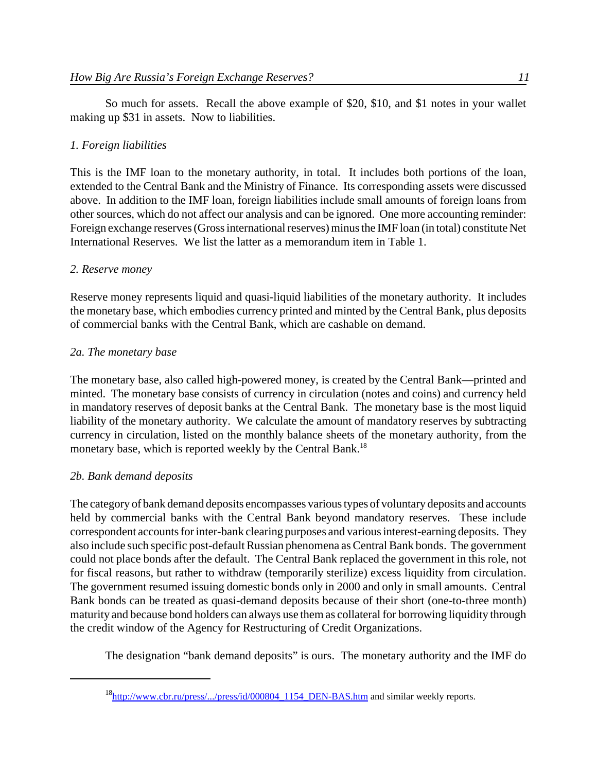So much for assets. Recall the above example of \$20, \$10, and \$1 notes in your wallet making up \$31 in assets. Now to liabilities.

## *1. Foreign liabilities*

This is the IMF loan to the monetary authority, in total. It includes both portions of the loan, extended to the Central Bank and the Ministry of Finance. Its corresponding assets were discussed above. In addition to the IMF loan, foreign liabilities include small amounts of foreign loans from other sources, which do not affect our analysis and can be ignored. One more accounting reminder: Foreign exchange reserves (Gross international reserves) minus the IMF loan (in total) constitute Net International Reserves. We list the latter as a memorandum item in Table 1.

## *2. Reserve money*

Reserve money represents liquid and quasi-liquid liabilities of the monetary authority. It includes the monetary base, which embodies currency printed and minted by the Central Bank, plus deposits of commercial banks with the Central Bank, which are cashable on demand.

## *2a. The monetary base*

The monetary base, also called high-powered money, is created by the Central Bank—printed and minted. The monetary base consists of currency in circulation (notes and coins) and currency held in mandatory reserves of deposit banks at the Central Bank. The monetary base is the most liquid liability of the monetary authority. We calculate the amount of mandatory reserves by subtracting currency in circulation, listed on the monthly balance sheets of the monetary authority, from the monetary base, which is reported weekly by the Central Bank.<sup>18</sup>

## *2b. Bank demand deposits*

The category of bank demand deposits encompasses various types of voluntary deposits and accounts held by commercial banks with the Central Bank beyond mandatory reserves. These include correspondent accounts for inter-bank clearing purposes and various interest-earning deposits. They also include such specific post-default Russian phenomena as Central Bank bonds. The government could not place bonds after the default. The Central Bank replaced the government in this role, not for fiscal reasons, but rather to withdraw (temporarily sterilize) excess liquidity from circulation. The government resumed issuing domestic bonds only in 2000 and only in small amounts. Central Bank bonds can be treated as quasi-demand deposits because of their short (one-to-three month) maturity and because bond holders can always use them as collateral for borrowing liquidity through the credit window of the Agency for Restructuring of Credit Organizations.

The designation "bank demand deposits" is ours. The monetary authority and the IMF do

 $^{18}$ http://www.cbr.ru/press/.../press/id/000804 1154 DEN-BAS.htm and similar weekly reports.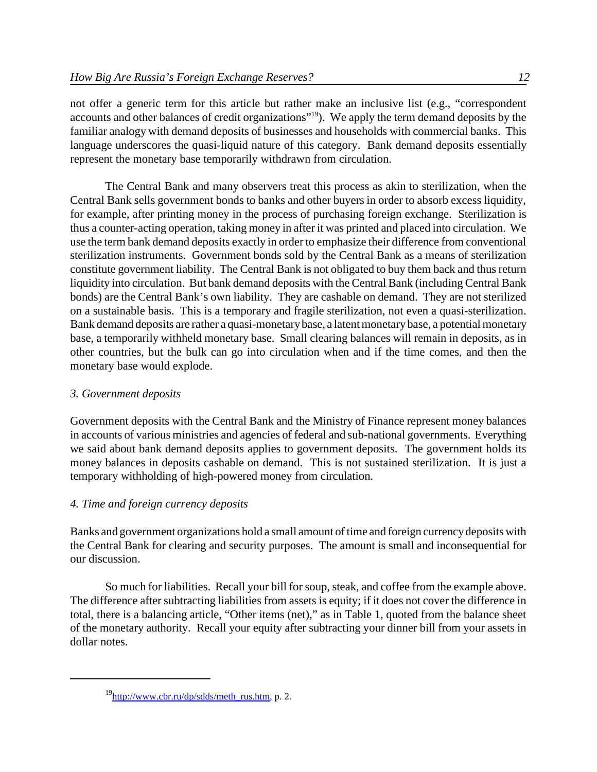not offer a generic term for this article but rather make an inclusive list (e.g., "correspondent accounts and other balances of credit organizations"<sup>19</sup>). We apply the term demand deposits by the familiar analogy with demand deposits of businesses and households with commercial banks. This language underscores the quasi-liquid nature of this category. Bank demand deposits essentially represent the monetary base temporarily withdrawn from circulation.

The Central Bank and many observers treat this process as akin to sterilization, when the Central Bank sells government bonds to banks and other buyers in order to absorb excess liquidity, for example, after printing money in the process of purchasing foreign exchange. Sterilization is thus a counter-acting operation, taking money in after it was printed and placed into circulation. We use the term bank demand deposits exactly in order to emphasize their difference from conventional sterilization instruments. Government bonds sold by the Central Bank as a means of sterilization constitute government liability. The Central Bank is not obligated to buy them back and thus return liquidity into circulation. But bank demand deposits with the Central Bank (including Central Bank bonds) are the Central Bank's own liability. They are cashable on demand. They are not sterilized on a sustainable basis. This is a temporary and fragile sterilization, not even a quasi-sterilization. Bank demand deposits are rather a quasi-monetary base, a latent monetary base, a potential monetary base, a temporarily withheld monetary base. Small clearing balances will remain in deposits, as in other countries, but the bulk can go into circulation when and if the time comes, and then the monetary base would explode.

# *3. Government deposits*

Government deposits with the Central Bank and the Ministry of Finance represent money balances in accounts of various ministries and agencies of federal and sub-national governments. Everything we said about bank demand deposits applies to government deposits. The government holds its money balances in deposits cashable on demand. This is not sustained sterilization. It is just a temporary withholding of high-powered money from circulation.

# *4. Time and foreign currency deposits*

Banks and government organizations hold a small amount of time and foreign currency deposits with the Central Bank for clearing and security purposes. The amount is small and inconsequential for our discussion.

So much for liabilities. Recall your bill for soup, steak, and coffee from the example above. The difference after subtracting liabilities from assets is equity; if it does not cover the difference in total, there is a balancing article, "Other items (net)," as in Table 1, quoted from the balance sheet of the monetary authority. Recall your equity after subtracting your dinner bill from your assets in dollar notes.

 $19$ http://www.cbr.ru/dp/sdds/meth\_rus.htm, p. 2.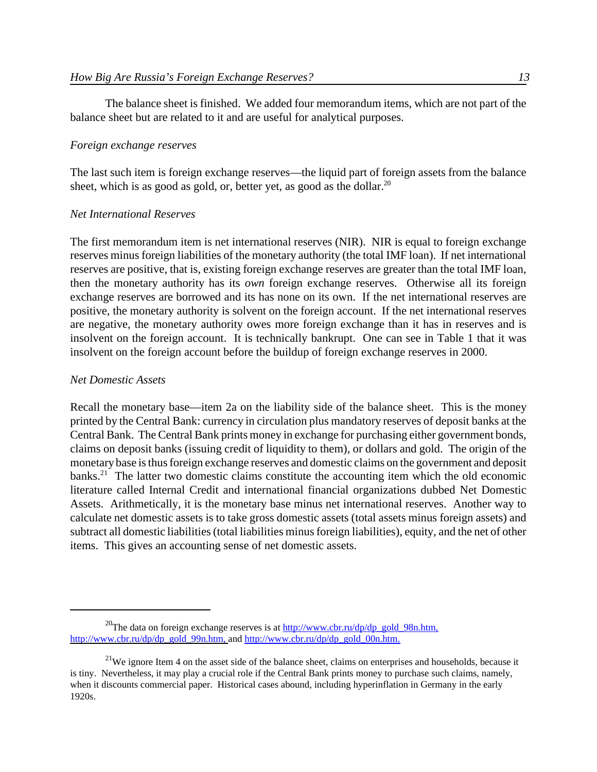The balance sheet is finished. We added four memorandum items, which are not part of the balance sheet but are related to it and are useful for analytical purposes.

### *Foreign exchange reserves*

The last such item is foreign exchange reserves—the liquid part of foreign assets from the balance sheet, which is as good as gold, or, better yet, as good as the dollar.<sup>20</sup>

### *Net International Reserves*

The first memorandum item is net international reserves (NIR). NIR is equal to foreign exchange reserves minus foreign liabilities of the monetary authority (the total IMF loan). If net international reserves are positive, that is, existing foreign exchange reserves are greater than the total IMF loan, then the monetary authority has its *own* foreign exchange reserves. Otherwise all its foreign exchange reserves are borrowed and its has none on its own. If the net international reserves are positive, the monetary authority is solvent on the foreign account. If the net international reserves are negative, the monetary authority owes more foreign exchange than it has in reserves and is insolvent on the foreign account. It is technically bankrupt. One can see in Table 1 that it was insolvent on the foreign account before the buildup of foreign exchange reserves in 2000.

### *Net Domestic Assets*

Recall the monetary base—item 2a on the liability side of the balance sheet. This is the money printed by the Central Bank: currency in circulation plus mandatory reserves of deposit banks at the Central Bank. The Central Bank prints money in exchange for purchasing either government bonds, claims on deposit banks (issuing credit of liquidity to them), or dollars and gold. The origin of the monetary base is thus foreign exchange reserves and domestic claims on the government and deposit banks.<sup>21</sup> The latter two domestic claims constitute the accounting item which the old economic literature called Internal Credit and international financial organizations dubbed Net Domestic Assets. Arithmetically, it is the monetary base minus net international reserves. Another way to calculate net domestic assets is to take gross domestic assets (total assets minus foreign assets) and subtract all domestic liabilities (total liabilities minus foreign liabilities), equity, and the net of other items. This gives an accounting sense of net domestic assets.

<sup>&</sup>lt;sup>20</sup>The data on foreign exchange reserves is at  $\frac{http://www.cbr.ru/dp/dp_gold_98n.htm,$ http://www.cbr.ru/dp/dp\_gold\_99n.htm, and http://www.cbr.ru/dp/dp\_gold\_00n.htm.

 $^{21}$ We ignore Item 4 on the asset side of the balance sheet, claims on enterprises and households, because it is tiny. Nevertheless, it may play a crucial role if the Central Bank prints money to purchase such claims, namely, when it discounts commercial paper. Historical cases abound, including hyperinflation in Germany in the early 1920s.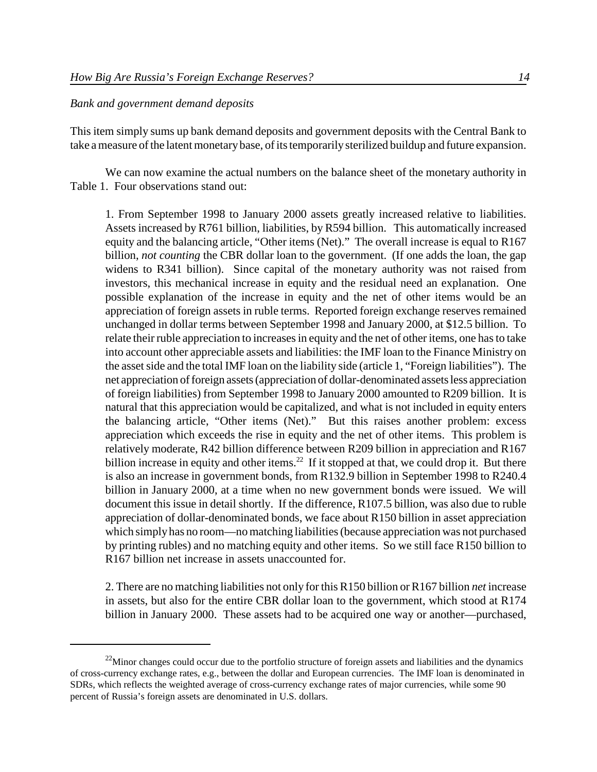### *Bank and government demand deposits*

This item simply sums up bank demand deposits and government deposits with the Central Bank to take a measure of the latent monetary base, of its temporarily sterilized buildup and future expansion.

We can now examine the actual numbers on the balance sheet of the monetary authority in Table 1. Four observations stand out:

1. From September 1998 to January 2000 assets greatly increased relative to liabilities. Assets increased by R761 billion, liabilities, by R594 billion. This automatically increased equity and the balancing article, "Other items (Net)." The overall increase is equal to R167 billion, *not counting* the CBR dollar loan to the government. (If one adds the loan, the gap widens to R341 billion). Since capital of the monetary authority was not raised from investors, this mechanical increase in equity and the residual need an explanation. One possible explanation of the increase in equity and the net of other items would be an appreciation of foreign assets in ruble terms. Reported foreign exchange reserves remained unchanged in dollar terms between September 1998 and January 2000, at \$12.5 billion. To relate their ruble appreciation to increases in equity and the net of other items, one has to take into account other appreciable assets and liabilities: the IMF loan to the Finance Ministry on the asset side and the total IMF loan on the liability side (article 1, "Foreign liabilities"). The net appreciation of foreign assets (appreciation of dollar-denominated assets less appreciation of foreign liabilities) from September 1998 to January 2000 amounted to R209 billion. It is natural that this appreciation would be capitalized, and what is not included in equity enters the balancing article, "Other items (Net)." But this raises another problem: excess appreciation which exceeds the rise in equity and the net of other items. This problem is relatively moderate, R42 billion difference between R209 billion in appreciation and R167 billion increase in equity and other items.<sup>22</sup> If it stopped at that, we could drop it. But there is also an increase in government bonds, from R132.9 billion in September 1998 to R240.4 billion in January 2000, at a time when no new government bonds were issued. We will document this issue in detail shortly. If the difference, R107.5 billion, was also due to ruble appreciation of dollar-denominated bonds, we face about R150 billion in asset appreciation which simply has no room—no matching liabilities (because appreciation was not purchased by printing rubles) and no matching equity and other items. So we still face R150 billion to R167 billion net increase in assets unaccounted for.

2. There are no matching liabilities not only for this R150 billion or R167 billion *net* increase in assets, but also for the entire CBR dollar loan to the government, which stood at R174 billion in January 2000. These assets had to be acquired one way or another—purchased,

 $^{22}$ Minor changes could occur due to the portfolio structure of foreign assets and liabilities and the dynamics of cross-currency exchange rates, e.g., between the dollar and European currencies. The IMF loan is denominated in SDRs, which reflects the weighted average of cross-currency exchange rates of major currencies, while some 90 percent of Russia's foreign assets are denominated in U.S. dollars.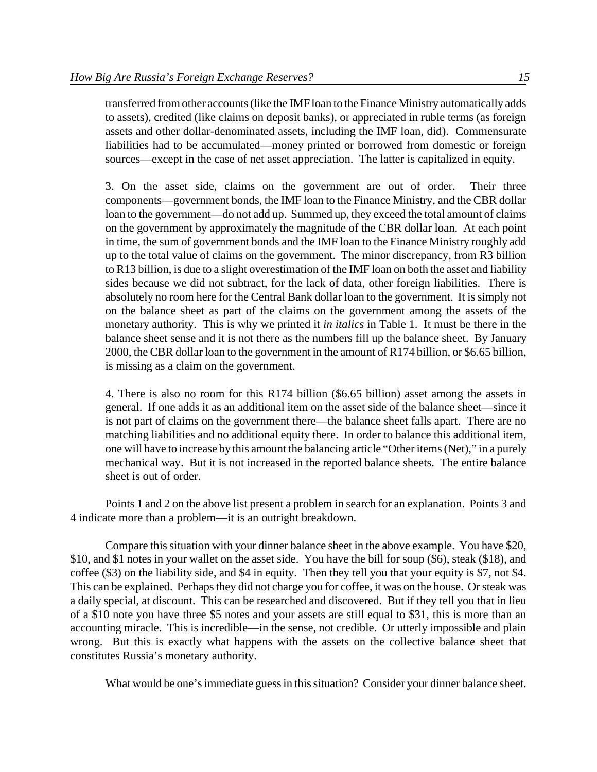transferred fromother accounts(like the IMFloan to the Finance Ministry automatically adds to assets), credited (like claims on deposit banks), or appreciated in ruble terms (as foreign assets and other dollar-denominated assets, including the IMF loan, did). Commensurate liabilities had to be accumulated—money printed or borrowed from domestic or foreign sources—except in the case of net asset appreciation. The latter is capitalized in equity.

3. On the asset side, claims on the government are out of order. Their three components—government bonds, the IMF loan to the Finance Ministry, and the CBR dollar loan to the government—do not add up. Summed up, they exceed the total amount of claims on the government by approximately the magnitude of the CBR dollar loan. At each point in time, the sum of government bonds and the IMF loan to the Finance Ministry roughly add up to the total value of claims on the government. The minor discrepancy, from R3 billion to R13 billion, is due to a slight overestimation of the IMF loan on both the asset and liability sides because we did not subtract, for the lack of data, other foreign liabilities. There is absolutely no room here for the Central Bank dollar loan to the government. It is simply not on the balance sheet as part of the claims on the government among the assets of the monetary authority. This is why we printed it *in italics* in Table 1. It must be there in the balance sheet sense and it is not there as the numbers fill up the balance sheet. By January 2000, the CBR dollar loan to the government in the amount of R174 billion, or \$6.65 billion, is missing as a claim on the government.

4. There is also no room for this R174 billion (\$6.65 billion) asset among the assets in general. If one adds it as an additional item on the asset side of the balance sheet—since it is not part of claims on the government there—the balance sheet falls apart. There are no matching liabilities and no additional equity there. In order to balance this additional item, one will have to increase by this amount the balancing article "Other items(Net)," in a purely mechanical way. But it is not increased in the reported balance sheets. The entire balance sheet is out of order.

Points 1 and 2 on the above list present a problem in search for an explanation. Points 3 and 4 indicate more than a problem—it is an outright breakdown.

Compare this situation with your dinner balance sheet in the above example. You have \$20, \$10, and \$1 notes in your wallet on the asset side. You have the bill for soup (\$6), steak (\$18), and coffee (\$3) on the liability side, and \$4 in equity. Then they tell you that your equity is \$7, not \$4. This can be explained. Perhaps they did not charge you for coffee, it was on the house. Or steak was a daily special, at discount. This can be researched and discovered. But if they tell you that in lieu of a \$10 note you have three \$5 notes and your assets are still equal to \$31, this is more than an accounting miracle. This is incredible—in the sense, not credible. Or utterly impossible and plain wrong. But this is exactly what happens with the assets on the collective balance sheet that constitutes Russia's monetary authority.

What would be one's immediate guess in this situation? Consider your dinner balance sheet.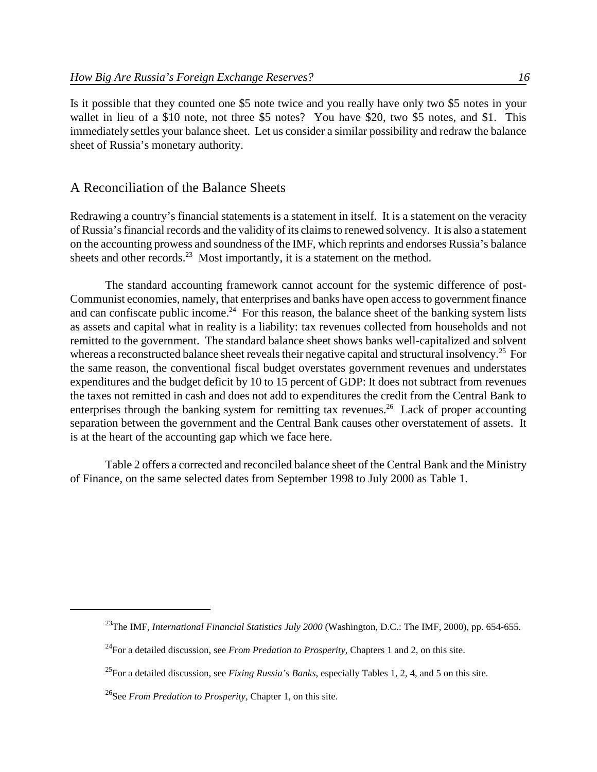Is it possible that they counted one \$5 note twice and you really have only two \$5 notes in your wallet in lieu of a \$10 note, not three \$5 notes? You have \$20, two \$5 notes, and \$1. This immediately settles your balance sheet. Let us consider a similar possibility and redraw the balance sheet of Russia's monetary authority.

### A Reconciliation of the Balance Sheets

Redrawing a country's financial statements is a statement in itself. It is a statement on the veracity of Russia'sfinancial records and the validity of its claimsto renewed solvency. It is also a statement on the accounting prowess and soundness of the IMF, which reprints and endorses Russia's balance sheets and other records.<sup>23</sup> Most importantly, it is a statement on the method.

The standard accounting framework cannot account for the systemic difference of post-Communist economies, namely, that enterprises and banks have open accessto government finance and can confiscate public income.<sup>24</sup> For this reason, the balance sheet of the banking system lists as assets and capital what in reality is a liability: tax revenues collected from households and not remitted to the government. The standard balance sheet shows banks well-capitalized and solvent whereas a reconstructed balance sheet reveals their negative capital and structural insolvency.<sup>25</sup> For the same reason, the conventional fiscal budget overstates government revenues and understates expenditures and the budget deficit by 10 to 15 percent of GDP: It does not subtract from revenues the taxes not remitted in cash and does not add to expenditures the credit from the Central Bank to enterprises through the banking system for remitting tax revenues.<sup>26</sup> Lack of proper accounting separation between the government and the Central Bank causes other overstatement of assets. It is at the heart of the accounting gap which we face here.

Table 2 offers a corrected and reconciled balance sheet of the Central Bank and the Ministry of Finance, on the same selected dates from September 1998 to July 2000 as Table 1.

<sup>&</sup>lt;sup>23</sup>The IMF, *International Financial Statistics July 2000* (Washington, D.C.: The IMF, 2000), pp. 654-655.

<sup>24</sup>For a detailed discussion, see *From Predation to Prosperity*, Chapters 1 and 2, on this site.

<sup>25</sup>For a detailed discussion, see *Fixing Russia's Banks*, especially Tables 1, 2, 4, and 5 on this site.

<sup>26</sup>See *From Predation to Prosperity*, Chapter 1, on this site.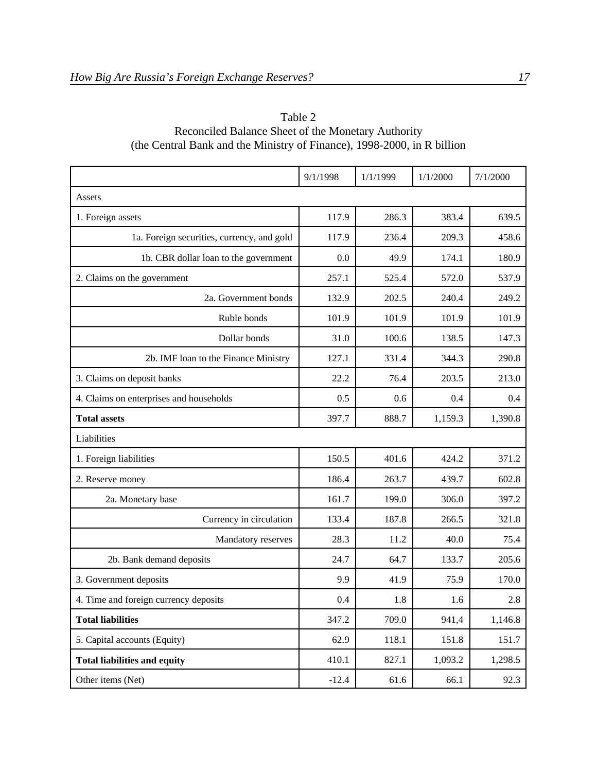|                                            | 9/1/1998 | 1/1/1999 | 1/1/2000 | 7/1/2000 |
|--------------------------------------------|----------|----------|----------|----------|
| Assets                                     |          |          |          |          |
| 1. Foreign assets                          | 117.9    | 286.3    | 383.4    | 639.5    |
| 1a. Foreign securities, currency, and gold | 117.9    | 236.4    | 209.3    | 458.6    |
| 1b. CBR dollar loan to the government      | 0.0      | 49.9     | 174.1    | 180.9    |
| 2. Claims on the government                | 257.1    | 525.4    | 572.0    | 537.9    |
| 2a. Government bonds                       | 132.9    | 202.5    | 240.4    | 249.2    |
| Ruble bonds                                | 101.9    | 101.9    | 101.9    | 101.9    |
| Dollar bonds                               | 31.0     | 100.6    | 138.5    | 147.3    |
| 2b. IMF loan to the Finance Ministry       | 127.1    | 331.4    | 344.3    | 290.8    |
| 3. Claims on deposit banks                 | 22.2     | 76.4     | 203.5    | 213.0    |
| 4. Claims on enterprises and households    | 0.5      | 0.6      | 0.4      | 0.4      |
| <b>Total assets</b>                        | 397.7    | 888.7    | 1,159.3  | 1,390.8  |
| Liabilities                                |          |          |          |          |
| 1. Foreign liabilities                     | 150.5    | 401.6    | 424.2    | 371.2    |
| 2. Reserve money                           | 186.4    | 263.7    | 439.7    | 602.8    |
| 2a. Monetary base                          | 161.7    | 199.0    | 306.0    | 397.2    |
| Currency in circulation                    | 133.4    | 187.8    | 266.5    | 321.8    |
| Mandatory reserves                         | 28.3     | 11.2     | 40.0     | 75.4     |
| 2b. Bank demand deposits                   | 24.7     | 64.7     | 133.7    | 205.6    |
| 3. Government deposits                     | 9.9      | 41.9     | 75.9     | 170.0    |
| 4. Time and foreign currency deposits      | 0.4      | $1.8\,$  | 1.6      | $2.8\,$  |
| <b>Total liabilities</b>                   | 347.2    | 709.0    | 941,4    | 1,146.8  |
| 5. Capital accounts (Equity)               | 62.9     | 118.1    | 151.8    | 151.7    |
| <b>Total liabilities and equity</b>        | 410.1    | 827.1    | 1,093.2  | 1,298.5  |
| Other items (Net)                          | $-12.4$  | 61.6     | 66.1     | 92.3     |

# Table 2 Reconciled Balance Sheet of the Monetary Authority (the Central Bank and the Ministry of Finance), 1998-2000, in R billion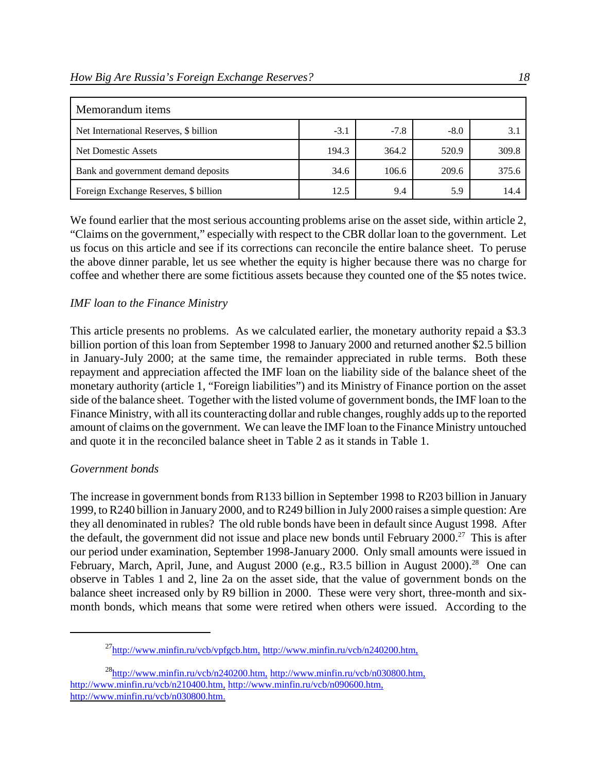| Memorandum items                       |        |        |        |       |
|----------------------------------------|--------|--------|--------|-------|
| Net International Reserves, \$ billion | $-3.1$ | $-7.8$ | $-8.0$ | 3.1   |
| Net Domestic Assets                    | 194.3  | 364.2  | 520.9  | 309.8 |
| Bank and government demand deposits    | 34.6   | 106.6  | 209.6  | 375.6 |
| Foreign Exchange Reserves, \$ billion  | 12.5   | 9.4    | 5.9    | 14.4  |

We found earlier that the most serious accounting problems arise on the asset side, within article 2, "Claims on the government," especially with respect to the CBR dollar loan to the government. Let us focus on this article and see if its corrections can reconcile the entire balance sheet. To peruse the above dinner parable, let us see whether the equity is higher because there was no charge for coffee and whether there are some fictitious assets because they counted one of the \$5 notes twice.

## *IMF loan to the Finance Ministry*

This article presents no problems. As we calculated earlier, the monetary authority repaid a \$3.3 billion portion of this loan from September 1998 to January 2000 and returned another \$2.5 billion in January-July 2000; at the same time, the remainder appreciated in ruble terms. Both these repayment and appreciation affected the IMF loan on the liability side of the balance sheet of the monetary authority (article 1, "Foreign liabilities") and its Ministry of Finance portion on the asset side of the balance sheet. Together with the listed volume of government bonds, the IMF loan to the Finance Ministry, with all its counteracting dollar and ruble changes, roughly adds up to the reported amount of claims on the government. We can leave the IMF loan to the Finance Ministry untouched and quote it in the reconciled balance sheet in Table 2 as it stands in Table 1.

## *Government bonds*

The increase in government bonds from R133 billion in September 1998 to R203 billion in January 1999, to R240 billion in January 2000, and to R249 billion in July 2000 raises a simple question: Are they all denominated in rubles? The old ruble bonds have been in default since August 1998. After the default, the government did not issue and place new bonds until February 2000.<sup>27</sup> This is after our period under examination, September 1998-January 2000. Only small amounts were issued in February, March, April, June, and August 2000 (e.g., R3.5 billion in August 2000).<sup>28</sup> One can observe in Tables 1 and 2, line 2a on the asset side, that the value of government bonds on the balance sheet increased only by R9 billion in 2000. These were very short, three-month and sixmonth bonds, which means that some were retired when others were issued. According to the

 $^{27}$ http://www.minfin.ru/vcb/vpfgcb.htm, http://www.minfin.ru/vcb/n240200.htm,

 $^{28}$ http://www.minfin.ru/vcb/n240200.htm, http://www.minfin.ru/vcb/n030800.htm, http://www.minfin.ru/vcb/n210400.htm, http://www.minfin.ru/vcb/n090600.htm, http://www.minfin.ru/vcb/n030800.htm.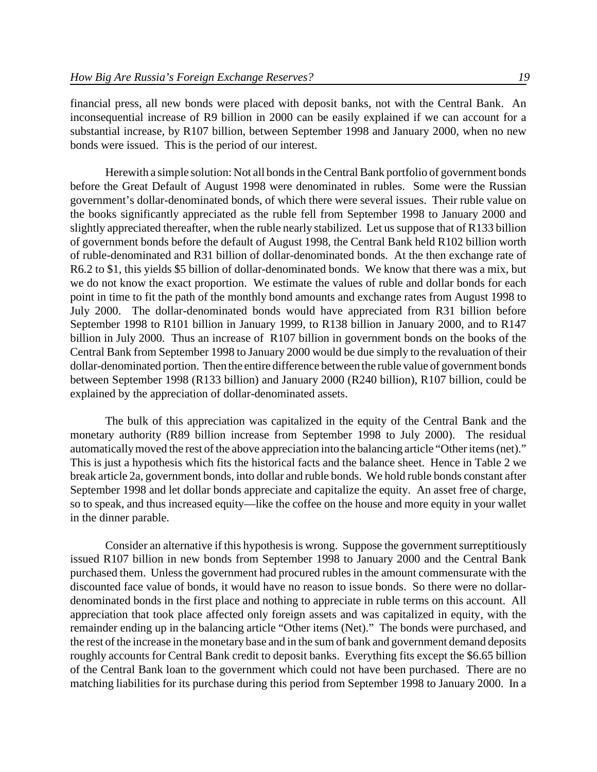financial press, all new bonds were placed with deposit banks, not with the Central Bank. An inconsequential increase of R9 billion in 2000 can be easily explained if we can account for a substantial increase, by R107 billion, between September 1998 and January 2000, when no new bonds were issued. This is the period of our interest.

Herewith a simple solution: Not all bonds in the Central Bank portfolio of government bonds before the Great Default of August 1998 were denominated in rubles. Some were the Russian government's dollar-denominated bonds, of which there were several issues. Their ruble value on the books significantly appreciated as the ruble fell from September 1998 to January 2000 and slightly appreciated thereafter, when the ruble nearly stabilized. Let us suppose that of R133 billion of government bonds before the default of August 1998, the Central Bank held R102 billion worth of ruble-denominated and R31 billion of dollar-denominated bonds. At the then exchange rate of R6.2 to \$1, this yields \$5 billion of dollar-denominated bonds. We know that there was a mix, but we do not know the exact proportion. We estimate the values of ruble and dollar bonds for each point in time to fit the path of the monthly bond amounts and exchange rates from August 1998 to July 2000. The dollar-denominated bonds would have appreciated from R31 billion before September 1998 to R101 billion in January 1999, to R138 billion in January 2000, and to R147 billion in July 2000. Thus an increase of R107 billion in government bonds on the books of the Central Bank from September 1998 to January 2000 would be due simply to the revaluation of their dollar-denominated portion. Then the entire difference between the ruble value of government bonds between September 1998 (R133 billion) and January 2000 (R240 billion), R107 billion, could be explained by the appreciation of dollar-denominated assets.

The bulk of this appreciation was capitalized in the equity of the Central Bank and the monetary authority (R89 billion increase from September 1998 to July 2000). The residual automatically moved the rest of the above appreciation into the balancing article "Other items (net)." This is just a hypothesis which fits the historical facts and the balance sheet. Hence in Table 2 we break article 2a, government bonds, into dollar and ruble bonds. We hold ruble bonds constant after September 1998 and let dollar bonds appreciate and capitalize the equity. An asset free of charge, so to speak, and thus increased equity—like the coffee on the house and more equity in your wallet in the dinner parable.

Consider an alternative if this hypothesis is wrong. Suppose the government surreptitiously issued R107 billion in new bonds from September 1998 to January 2000 and the Central Bank purchased them. Unless the government had procured rubles in the amount commensurate with the discounted face value of bonds, it would have no reason to issue bonds. So there were no dollardenominated bonds in the first place and nothing to appreciate in ruble terms on this account. All appreciation that took place affected only foreign assets and was capitalized in equity, with the remainder ending up in the balancing article "Other items (Net)." The bonds were purchased, and the rest of the increase in the monetary base and in the sum of bank and government demand deposits roughly accounts for Central Bank credit to deposit banks. Everything fits except the \$6.65 billion of the Central Bank loan to the government which could not have been purchased. There are no matching liabilities for its purchase during this period from September 1998 to January 2000. In a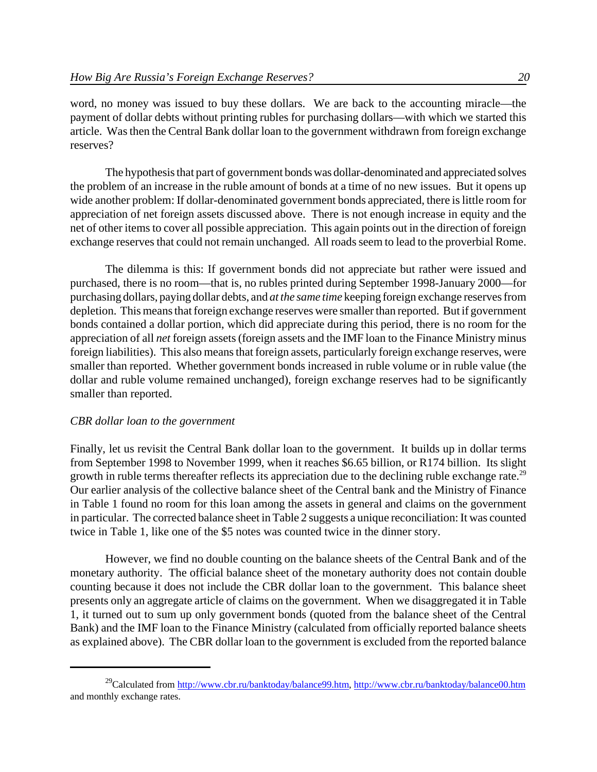word, no money was issued to buy these dollars. We are back to the accounting miracle—the payment of dollar debts without printing rubles for purchasing dollars—with which we started this article. Was then the Central Bank dollar loan to the government withdrawn from foreign exchange reserves?

The hypothesisthat part of government bonds was dollar-denominated and appreciated solves the problem of an increase in the ruble amount of bonds at a time of no new issues. But it opens up wide another problem: If dollar-denominated government bonds appreciated, there is little room for appreciation of net foreign assets discussed above. There is not enough increase in equity and the net of other itemsto cover all possible appreciation. This again points out in the direction of foreign exchange reserves that could not remain unchanged. All roads seem to lead to the proverbial Rome.

The dilemma is this: If government bonds did not appreciate but rather were issued and purchased, there is no room—that is, no rubles printed during September 1998-January 2000—for purchasing dollars, paying dollar debts, and *at the same time* keeping foreign exchange reservesfrom depletion. This means that foreign exchange reserves were smaller than reported. But if government bonds contained a dollar portion, which did appreciate during this period, there is no room for the appreciation of all *net* foreign assets(foreign assets and the IMF loan to the Finance Ministry minus foreign liabilities). This also means that foreign assets, particularly foreign exchange reserves, were smaller than reported. Whether government bonds increased in ruble volume or in ruble value (the dollar and ruble volume remained unchanged), foreign exchange reserves had to be significantly smaller than reported.

### *CBR dollar loan to the government*

Finally, let us revisit the Central Bank dollar loan to the government. It builds up in dollar terms from September 1998 to November 1999, when it reaches \$6.65 billion, or R174 billion. Its slight growth in ruble terms thereafter reflects its appreciation due to the declining ruble exchange rate.<sup>29</sup> Our earlier analysis of the collective balance sheet of the Central bank and the Ministry of Finance in Table 1 found no room for this loan among the assets in general and claims on the government in particular. The corrected balance sheet in Table 2 suggests a unique reconciliation: It was counted twice in Table 1, like one of the \$5 notes was counted twice in the dinner story.

However, we find no double counting on the balance sheets of the Central Bank and of the monetary authority. The official balance sheet of the monetary authority does not contain double counting because it does not include the CBR dollar loan to the government. This balance sheet presents only an aggregate article of claims on the government. When we disaggregated it in Table 1, it turned out to sum up only government bonds (quoted from the balance sheet of the Central Bank) and the IMF loan to the Finance Ministry (calculated from officially reported balance sheets as explained above). The CBR dollar loan to the government is excluded from the reported balance

<sup>&</sup>lt;sup>29</sup>Calculated from http://www.cbr.ru/banktoday/balance99.htm, http://www.cbr.ru/banktoday/balance00.htm and monthly exchange rates.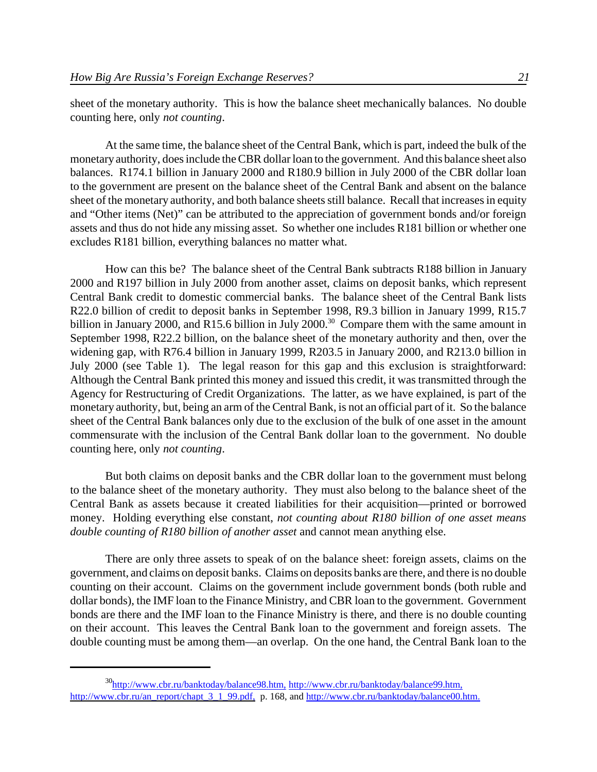sheet of the monetary authority. This is how the balance sheet mechanically balances. No double counting here, only *not counting*.

At the same time, the balance sheet of the Central Bank, which is part, indeed the bulk of the monetary authority, does include the CBR dollar loan to the government. And this balance sheet also balances. R174.1 billion in January 2000 and R180.9 billion in July 2000 of the CBR dollar loan to the government are present on the balance sheet of the Central Bank and absent on the balance sheet of the monetary authority, and both balance sheets still balance. Recall that increases in equity and "Other items (Net)" can be attributed to the appreciation of government bonds and/or foreign assets and thus do not hide any missing asset. So whether one includes R181 billion or whether one excludes R181 billion, everything balances no matter what.

How can this be? The balance sheet of the Central Bank subtracts R188 billion in January 2000 and R197 billion in July 2000 from another asset, claims on deposit banks, which represent Central Bank credit to domestic commercial banks. The balance sheet of the Central Bank lists R22.0 billion of credit to deposit banks in September 1998, R9.3 billion in January 1999, R15.7 billion in January 2000, and R15.6 billion in July 2000.<sup>30</sup> Compare them with the same amount in September 1998, R22.2 billion, on the balance sheet of the monetary authority and then, over the widening gap, with R76.4 billion in January 1999, R203.5 in January 2000, and R213.0 billion in July 2000 (see Table 1). The legal reason for this gap and this exclusion is straightforward: Although the Central Bank printed this money and issued this credit, it was transmitted through the Agency for Restructuring of Credit Organizations. The latter, as we have explained, is part of the monetary authority, but, being an arm of the Central Bank, is not an official part of it. So the balance sheet of the Central Bank balances only due to the exclusion of the bulk of one asset in the amount commensurate with the inclusion of the Central Bank dollar loan to the government. No double counting here, only *not counting*.

But both claims on deposit banks and the CBR dollar loan to the government must belong to the balance sheet of the monetary authority. They must also belong to the balance sheet of the Central Bank as assets because it created liabilities for their acquisition—printed or borrowed money. Holding everything else constant, *not counting about R180 billion of one asset means double counting of R180 billion of another asset* and cannot mean anything else.

There are only three assets to speak of on the balance sheet: foreign assets, claims on the government, and claims on deposit banks. Claims on deposits banks are there, and there is no double counting on their account. Claims on the government include government bonds (both ruble and dollar bonds), the IMF loan to the Finance Ministry, and CBR loan to the government. Government bonds are there and the IMF loan to the Finance Ministry is there, and there is no double counting on their account. This leaves the Central Bank loan to the government and foreign assets. The double counting must be among them—an overlap. On the one hand, the Central Bank loan to the

<sup>30</sup>http://www.cbr.ru/banktoday/balance98.htm, http://www.cbr.ru/banktoday/balance99.htm, http://www.cbr.ru/an\_report/chapt\_3\_1\_99.pdf, p. 168, and http://www.cbr.ru/banktoday/balance00.htm.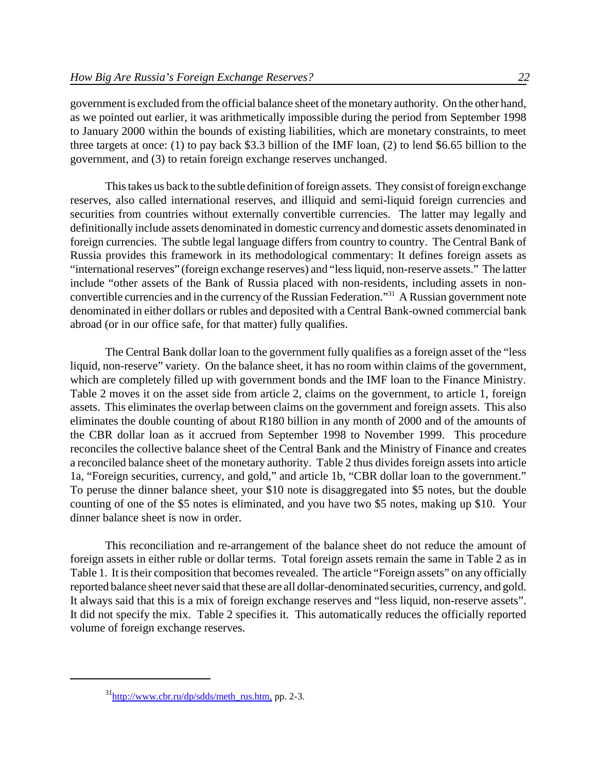government is excluded from the official balance sheet of the monetary authority. On the other hand, as we pointed out earlier, it was arithmetically impossible during the period from September 1998 to January 2000 within the bounds of existing liabilities, which are monetary constraints, to meet three targets at once: (1) to pay back \$3.3 billion of the IMF loan, (2) to lend \$6.65 billion to the government, and (3) to retain foreign exchange reserves unchanged.

This takes us back to the subtle definition of foreign assets. They consist of foreign exchange reserves, also called international reserves, and illiquid and semi-liquid foreign currencies and securities from countries without externally convertible currencies. The latter may legally and definitionally include assets denominated in domestic currency and domestic assets denominated in foreign currencies. The subtle legal language differs from country to country. The Central Bank of Russia provides this framework in its methodological commentary: It defines foreign assets as "international reserves" (foreign exchange reserves) and "lessliquid, non-reserve assets." The latter include "other assets of the Bank of Russia placed with non-residents, including assets in nonconvertible currencies and in the currency of the Russian Federation."<sup>31</sup> A Russian government note denominated in either dollars or rubles and deposited with a Central Bank-owned commercial bank abroad (or in our office safe, for that matter) fully qualifies.

The Central Bank dollar loan to the government fully qualifies as a foreign asset of the "less liquid, non-reserve" variety. On the balance sheet, it has no room within claims of the government, which are completely filled up with government bonds and the IMF loan to the Finance Ministry. Table 2 moves it on the asset side from article 2, claims on the government, to article 1, foreign assets. This eliminates the overlap between claims on the government and foreign assets. This also eliminates the double counting of about R180 billion in any month of 2000 and of the amounts of the CBR dollar loan as it accrued from September 1998 to November 1999. This procedure reconciles the collective balance sheet of the Central Bank and the Ministry of Finance and creates a reconciled balance sheet of the monetary authority. Table 2 thus divides foreign assets into article 1a, "Foreign securities, currency, and gold," and article 1b, "CBR dollar loan to the government." To peruse the dinner balance sheet, your \$10 note is disaggregated into \$5 notes, but the double counting of one of the \$5 notes is eliminated, and you have two \$5 notes, making up \$10. Your dinner balance sheet is now in order.

This reconciliation and re-arrangement of the balance sheet do not reduce the amount of foreign assets in either ruble or dollar terms. Total foreign assets remain the same in Table 2 as in Table 1. It is their composition that becomes revealed. The article "Foreign assets" on any officially reported balance sheet neversaid that these are all dollar-denominated securities, currency, and gold. It always said that this is a mix of foreign exchange reserves and "less liquid, non-reserve assets". It did not specify the mix. Table 2 specifies it. This automatically reduces the officially reported volume of foreign exchange reserves.

 $31$ http://www.cbr.ru/dp/sdds/meth\_rus.htm, pp. 2-3.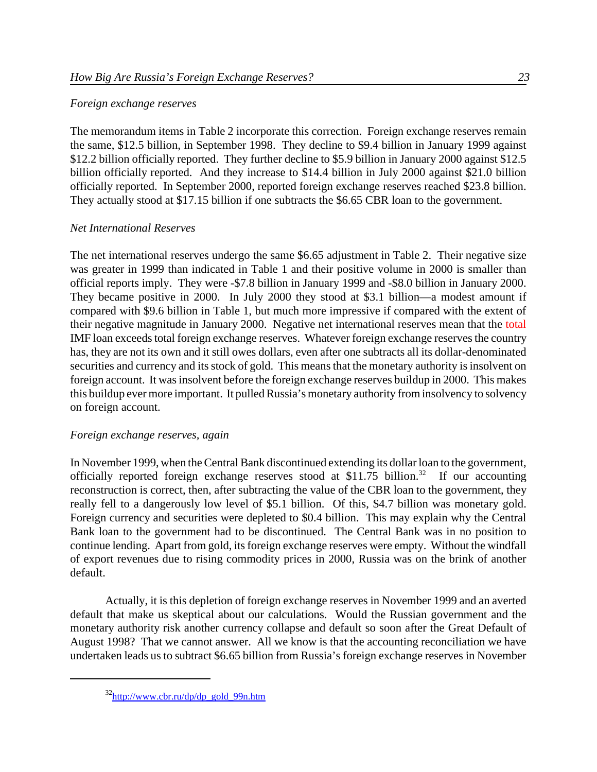### *Foreign exchange reserves*

The memorandum items in Table 2 incorporate this correction. Foreign exchange reserves remain the same, \$12.5 billion, in September 1998. They decline to \$9.4 billion in January 1999 against \$12.2 billion officially reported. They further decline to \$5.9 billion in January 2000 against \$12.5 billion officially reported. And they increase to \$14.4 billion in July 2000 against \$21.0 billion officially reported. In September 2000, reported foreign exchange reserves reached \$23.8 billion. They actually stood at \$17.15 billion if one subtracts the \$6.65 CBR loan to the government.

## *Net International Reserves*

The net international reserves undergo the same \$6.65 adjustment in Table 2. Their negative size was greater in 1999 than indicated in Table 1 and their positive volume in 2000 is smaller than official reports imply. They were -\$7.8 billion in January 1999 and -\$8.0 billion in January 2000. They became positive in 2000. In July 2000 they stood at \$3.1 billion—a modest amount if compared with \$9.6 billion in Table 1, but much more impressive if compared with the extent of their negative magnitude in January 2000. Negative net international reserves mean that the total IMF loan exceeds total foreign exchange reserves. Whatever foreign exchange reserves the country has, they are not its own and it still owes dollars, even after one subtracts all its dollar-denominated securities and currency and its stock of gold. This means that the monetary authority is insolvent on foreign account. It was insolvent before the foreign exchange reserves buildup in 2000. This makes this buildup ever more important. It pulled Russia's monetary authority from insolvency to solvency on foreign account.

## *Foreign exchange reserves, again*

In November 1999, when the Central Bank discontinued extending its dollar loan to the government, officially reported foreign exchange reserves stood at \$11.75 billion.<sup>32</sup> If our accounting reconstruction is correct, then, after subtracting the value of the CBR loan to the government, they really fell to a dangerously low level of \$5.1 billion. Of this, \$4.7 billion was monetary gold. Foreign currency and securities were depleted to \$0.4 billion. This may explain why the Central Bank loan to the government had to be discontinued. The Central Bank was in no position to continue lending. Apart from gold, its foreign exchange reserves were empty. Without the windfall of export revenues due to rising commodity prices in 2000, Russia was on the brink of another default.

Actually, it is this depletion of foreign exchange reserves in November 1999 and an averted default that make us skeptical about our calculations. Would the Russian government and the monetary authority risk another currency collapse and default so soon after the Great Default of August 1998? That we cannot answer. All we know is that the accounting reconciliation we have undertaken leads us to subtract \$6.65 billion from Russia's foreign exchange reserves in November

 $32$ http://www.cbr.ru/dp/dp\_gold\_99n.htm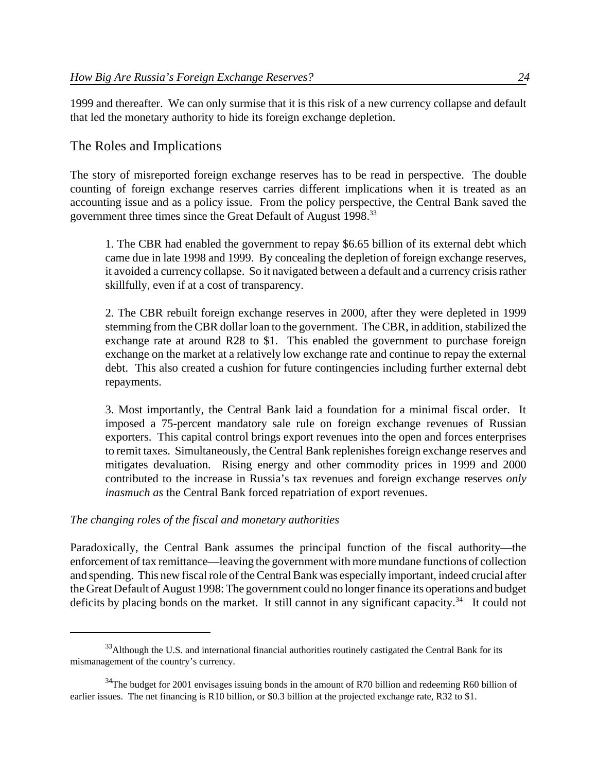1999 and thereafter. We can only surmise that it is this risk of a new currency collapse and default that led the monetary authority to hide its foreign exchange depletion.

# The Roles and Implications

The story of misreported foreign exchange reserves has to be read in perspective. The double counting of foreign exchange reserves carries different implications when it is treated as an accounting issue and as a policy issue. From the policy perspective, the Central Bank saved the government three times since the Great Default of August 1998.<sup>33</sup>

1. The CBR had enabled the government to repay \$6.65 billion of its external debt which came due in late 1998 and 1999. By concealing the depletion of foreign exchange reserves, it avoided a currency collapse. So it navigated between a default and a currency crisis rather skillfully, even if at a cost of transparency.

2. The CBR rebuilt foreign exchange reserves in 2000, after they were depleted in 1999 stemming from the CBR dollar loan to the government. The CBR, in addition, stabilized the exchange rate at around R28 to \$1. This enabled the government to purchase foreign exchange on the market at a relatively low exchange rate and continue to repay the external debt. This also created a cushion for future contingencies including further external debt repayments.

3. Most importantly, the Central Bank laid a foundation for a minimal fiscal order. It imposed a 75-percent mandatory sale rule on foreign exchange revenues of Russian exporters. This capital control brings export revenues into the open and forces enterprises to remit taxes. Simultaneously, the Central Bank replenishes foreign exchange reserves and mitigates devaluation. Rising energy and other commodity prices in 1999 and 2000 contributed to the increase in Russia's tax revenues and foreign exchange reserves *only inasmuch as* the Central Bank forced repatriation of export revenues.

## *The changing roles of the fiscal and monetary authorities*

Paradoxically, the Central Bank assumes the principal function of the fiscal authority—the enforcement of tax remittance—leaving the government with more mundane functions of collection and spending. This new fiscal role of the Central Bank was especially important, indeed crucial after the Great Default of August 1998: The government could no longer finance its operations and budget deficits by placing bonds on the market. It still cannot in any significant capacity.<sup>34</sup> It could not

<sup>&</sup>lt;sup>33</sup>Although the U.S. and international financial authorities routinely castigated the Central Bank for its mismanagement of the country's currency.

 $34$ The budget for 2001 envisages issuing bonds in the amount of R70 billion and redeeming R60 billion of earlier issues. The net financing is R10 billion, or \$0.3 billion at the projected exchange rate, R32 to \$1.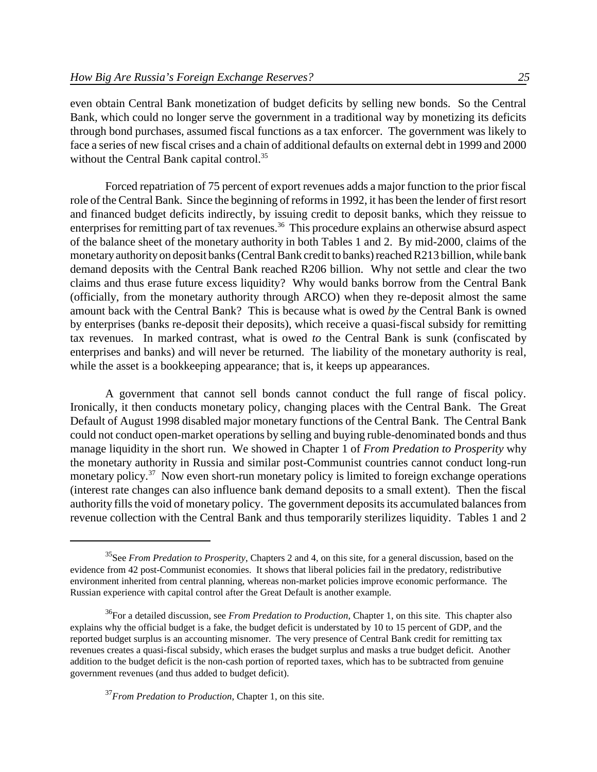even obtain Central Bank monetization of budget deficits by selling new bonds. So the Central Bank, which could no longer serve the government in a traditional way by monetizing its deficits through bond purchases, assumed fiscal functions as a tax enforcer. The government was likely to face a series of new fiscal crises and a chain of additional defaults on external debt in 1999 and 2000 without the Central Bank capital control.<sup>35</sup>

Forced repatriation of 75 percent of export revenues adds a major function to the prior fiscal role of the Central Bank. Since the beginning of reforms in 1992, it has been the lender of first resort and financed budget deficits indirectly, by issuing credit to deposit banks, which they reissue to enterprises for remitting part of tax revenues.<sup>36</sup> This procedure explains an otherwise absurd aspect of the balance sheet of the monetary authority in both Tables 1 and 2. By mid-2000, claims of the monetaryauthorityon deposit banks(Central Bank credit to banks) reached R213 billion, while bank demand deposits with the Central Bank reached R206 billion. Why not settle and clear the two claims and thus erase future excess liquidity? Why would banks borrow from the Central Bank (officially, from the monetary authority through ARCO) when they re-deposit almost the same amount back with the Central Bank? This is because what is owed *by* the Central Bank is owned by enterprises (banks re-deposit their deposits), which receive a quasi-fiscal subsidy for remitting tax revenues. In marked contrast, what is owed *to* the Central Bank is sunk (confiscated by enterprises and banks) and will never be returned. The liability of the monetary authority is real, while the asset is a bookkeeping appearance; that is, it keeps up appearances.

A government that cannot sell bonds cannot conduct the full range of fiscal policy. Ironically, it then conducts monetary policy, changing places with the Central Bank. The Great Default of August 1998 disabled major monetary functions of the Central Bank. The Central Bank could not conduct open-market operations by selling and buying ruble-denominated bonds and thus manage liquidity in the short run. We showed in Chapter 1 of *From Predation to Prosperity* why the monetary authority in Russia and similar post-Communist countries cannot conduct long-run monetary policy.<sup>37</sup> Now even short-run monetary policy is limited to foreign exchange operations (interest rate changes can also influence bank demand deposits to a small extent). Then the fiscal authority fills the void of monetary policy. The government deposits its accumulated balances from revenue collection with the Central Bank and thus temporarily sterilizes liquidity. Tables 1 and 2

<sup>35</sup>See *From Predation to Prosperity*, Chapters 2 and 4, on this site, for a general discussion, based on the evidence from 42 post-Communist economies. It shows that liberal policies fail in the predatory, redistributive environment inherited from central planning, whereas non-market policies improve economic performance. The Russian experience with capital control after the Great Default is another example.

<sup>&</sup>lt;sup>36</sup>For a detailed discussion, see *From Predation to Production*, Chapter 1, on this site. This chapter also explains why the official budget is a fake, the budget deficit is understated by 10 to 15 percent of GDP, and the reported budget surplus is an accounting misnomer. The very presence of Central Bank credit for remitting tax revenues creates a quasi-fiscal subsidy, which erases the budget surplus and masks a true budget deficit. Another addition to the budget deficit is the non-cash portion of reported taxes, which has to be subtracted from genuine government revenues (and thus added to budget deficit).

<sup>37</sup>*From Predation to Production*, Chapter 1, on this site.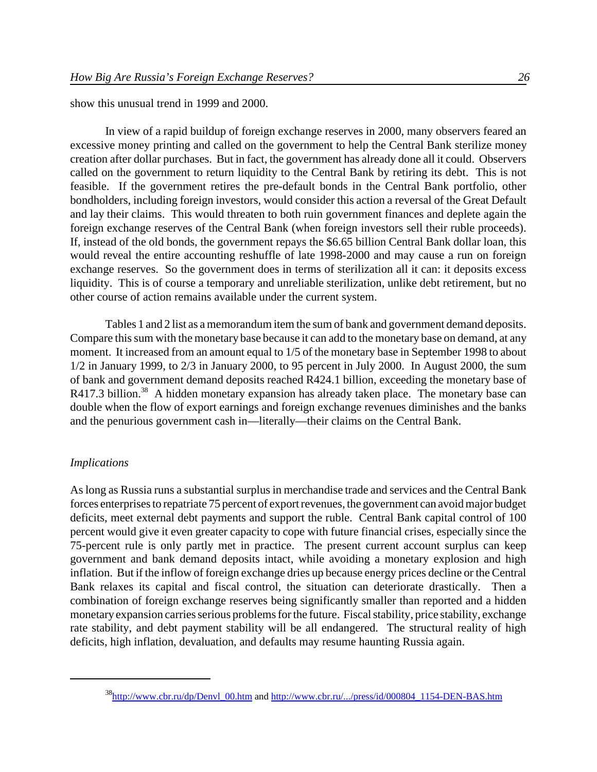show this unusual trend in 1999 and 2000.

In view of a rapid buildup of foreign exchange reserves in 2000, many observers feared an excessive money printing and called on the government to help the Central Bank sterilize money creation after dollar purchases. But in fact, the government has already done all it could. Observers called on the government to return liquidity to the Central Bank by retiring its debt. This is not feasible. If the government retires the pre-default bonds in the Central Bank portfolio, other bondholders, including foreign investors, would consider this action a reversal of the Great Default and lay their claims. This would threaten to both ruin government finances and deplete again the foreign exchange reserves of the Central Bank (when foreign investors sell their ruble proceeds). If, instead of the old bonds, the government repays the \$6.65 billion Central Bank dollar loan, this would reveal the entire accounting reshuffle of late 1998-2000 and may cause a run on foreign exchange reserves. So the government does in terms of sterilization all it can: it deposits excess liquidity. This is of course a temporary and unreliable sterilization, unlike debt retirement, but no other course of action remains available under the current system.

Tables 1 and 2 list as a memorandum item the sum of bank and government demand deposits. Compare this sum with the monetary base because it can add to the monetary base on demand, at any moment. It increased from an amount equal to 1/5 of the monetary base in September 1998 to about 1/2 in January 1999, to 2/3 in January 2000, to 95 percent in July 2000. In August 2000, the sum of bank and government demand deposits reached R424.1 billion, exceeding the monetary base of R417.3 billion.<sup>38</sup> A hidden monetary expansion has already taken place. The monetary base can double when the flow of export earnings and foreign exchange revenues diminishes and the banks and the penurious government cash in—literally—their claims on the Central Bank.

#### *Implications*

As long as Russia runs a substantial surplus in merchandise trade and services and the Central Bank forces enterprises to repatriate 75 percent of export revenues, the government can avoid major budget deficits, meet external debt payments and support the ruble. Central Bank capital control of 100 percent would give it even greater capacity to cope with future financial crises, especially since the 75-percent rule is only partly met in practice. The present current account surplus can keep government and bank demand deposits intact, while avoiding a monetary explosion and high inflation. But if the inflow of foreign exchange dries up because energy prices decline or the Central Bank relaxes its capital and fiscal control, the situation can deteriorate drastically. Then a combination of foreign exchange reserves being significantly smaller than reported and a hidden monetary expansion carries serious problems for the future. Fiscal stability, price stability, exchange rate stability, and debt payment stability will be all endangered. The structural reality of high deficits, high inflation, devaluation, and defaults may resume haunting Russia again.

<sup>&</sup>lt;sup>38</sup>http://www.cbr.ru/dp/Denvl\_00.htm and http://www.cbr.ru/.../press/id/000804\_1154-DEN-BAS.htm